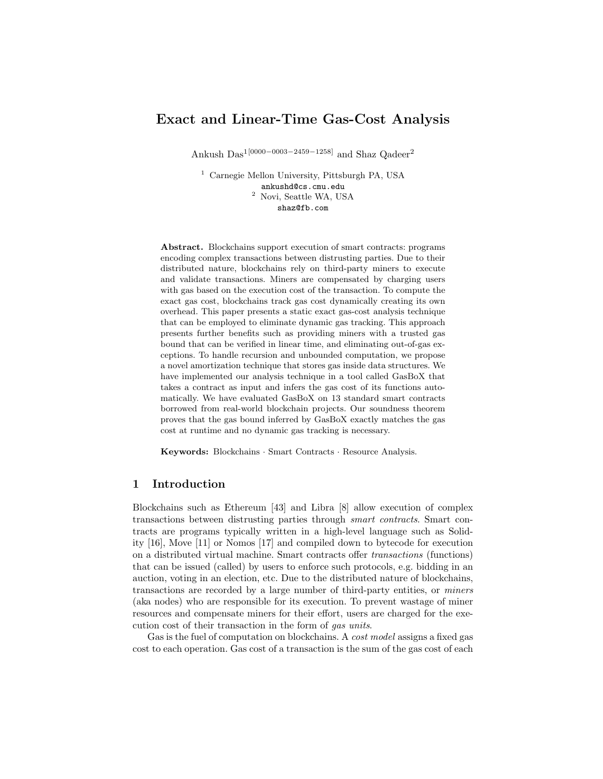# Exact and Linear-Time Gas-Cost Analysis

Ankush Das<sup>1[0000–0003–2459–1258]</sup> and Shaz Qadeer<sup>2</sup>

<sup>1</sup> Carnegie Mellon University, Pittsburgh PA, USA ankushd@cs.cmu.edu <sup>2</sup> Novi, Seattle WA, USA shaz@fb.com

Abstract. Blockchains support execution of smart contracts: programs encoding complex transactions between distrusting parties. Due to their distributed nature, blockchains rely on third-party miners to execute and validate transactions. Miners are compensated by charging users with gas based on the execution cost of the transaction. To compute the exact gas cost, blockchains track gas cost dynamically creating its own overhead. This paper presents a static exact gas-cost analysis technique that can be employed to eliminate dynamic gas tracking. This approach presents further benefits such as providing miners with a trusted gas bound that can be verified in linear time, and eliminating out-of-gas exceptions. To handle recursion and unbounded computation, we propose a novel amortization technique that stores gas inside data structures. We have implemented our analysis technique in a tool called GasBoX that takes a contract as input and infers the gas cost of its functions automatically. We have evaluated GasBoX on 13 standard smart contracts borrowed from real-world blockchain projects. Our soundness theorem proves that the gas bound inferred by GasBoX exactly matches the gas cost at runtime and no dynamic gas tracking is necessary.

Keywords: Blockchains · Smart Contracts · Resource Analysis.

# 1 Introduction

Blockchains such as Ethereum [43] and Libra [8] allow execution of complex transactions between distrusting parties through smart contracts. Smart contracts are programs typically written in a high-level language such as Solidity [16], Move [11] or Nomos [17] and compiled down to bytecode for execution on a distributed virtual machine. Smart contracts offer transactions (functions) that can be issued (called) by users to enforce such protocols, e.g. bidding in an auction, voting in an election, etc. Due to the distributed nature of blockchains, transactions are recorded by a large number of third-party entities, or miners (aka nodes) who are responsible for its execution. To prevent wastage of miner resources and compensate miners for their effort, users are charged for the execution cost of their transaction in the form of gas units.

Gas is the fuel of computation on blockchains. A *cost model* assigns a fixed gas cost to each operation. Gas cost of a transaction is the sum of the gas cost of each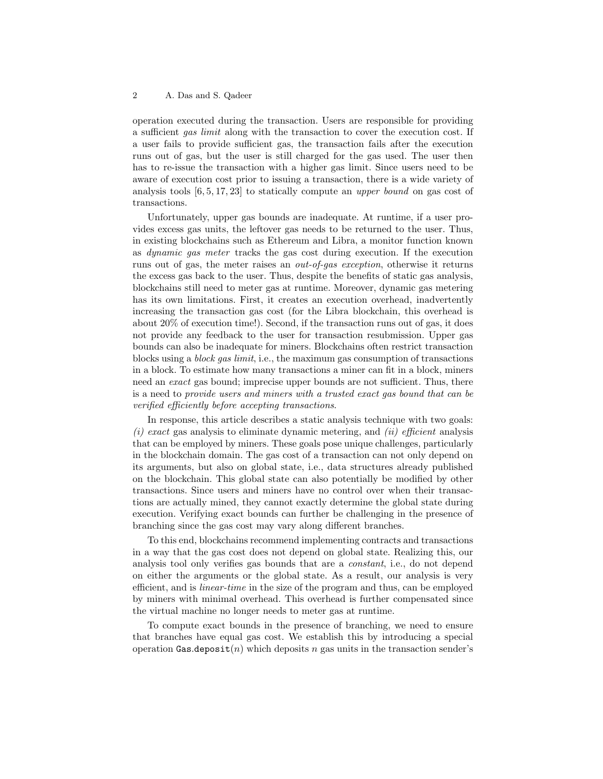operation executed during the transaction. Users are responsible for providing a sufficient gas limit along with the transaction to cover the execution cost. If a user fails to provide sufficient gas, the transaction fails after the execution runs out of gas, but the user is still charged for the gas used. The user then has to re-issue the transaction with a higher gas limit. Since users need to be aware of execution cost prior to issuing a transaction, there is a wide variety of analysis tools [6, 5, 17, 23] to statically compute an upper bound on gas cost of transactions.

Unfortunately, upper gas bounds are inadequate. At runtime, if a user provides excess gas units, the leftover gas needs to be returned to the user. Thus, in existing blockchains such as Ethereum and Libra, a monitor function known as dynamic gas meter tracks the gas cost during execution. If the execution runs out of gas, the meter raises an out-of-gas exception, otherwise it returns the excess gas back to the user. Thus, despite the benefits of static gas analysis, blockchains still need to meter gas at runtime. Moreover, dynamic gas metering has its own limitations. First, it creates an execution overhead, inadvertently increasing the transaction gas cost (for the Libra blockchain, this overhead is about 20% of execution time!). Second, if the transaction runs out of gas, it does not provide any feedback to the user for transaction resubmission. Upper gas bounds can also be inadequate for miners. Blockchains often restrict transaction blocks using a block gas limit, i.e., the maximum gas consumption of transactions in a block. To estimate how many transactions a miner can fit in a block, miners need an exact gas bound; imprecise upper bounds are not sufficient. Thus, there is a need to provide users and miners with a trusted exact gas bound that can be verified efficiently before accepting transactions.

In response, this article describes a static analysis technique with two goals:  $(i)$  exact gas analysis to eliminate dynamic metering, and  $(ii)$  efficient analysis that can be employed by miners. These goals pose unique challenges, particularly in the blockchain domain. The gas cost of a transaction can not only depend on its arguments, but also on global state, i.e., data structures already published on the blockchain. This global state can also potentially be modified by other transactions. Since users and miners have no control over when their transactions are actually mined, they cannot exactly determine the global state during execution. Verifying exact bounds can further be challenging in the presence of branching since the gas cost may vary along different branches.

To this end, blockchains recommend implementing contracts and transactions in a way that the gas cost does not depend on global state. Realizing this, our analysis tool only verifies gas bounds that are a constant, i.e., do not depend on either the arguments or the global state. As a result, our analysis is very efficient, and is linear-time in the size of the program and thus, can be employed by miners with minimal overhead. This overhead is further compensated since the virtual machine no longer needs to meter gas at runtime.

To compute exact bounds in the presence of branching, we need to ensure that branches have equal gas cost. We establish this by introducing a special operation Gas.deposit(n) which deposits n gas units in the transaction sender's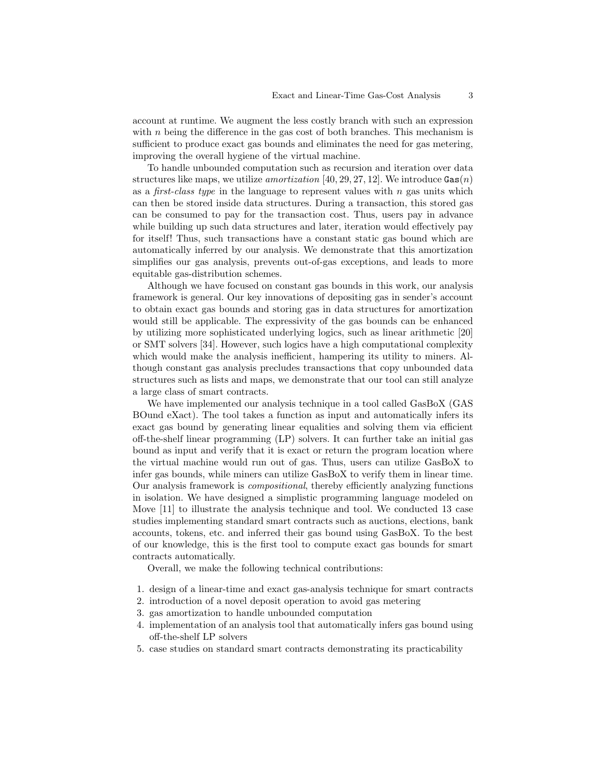account at runtime. We augment the less costly branch with such an expression with  $n$  being the difference in the gas cost of both branches. This mechanism is sufficient to produce exact gas bounds and eliminates the need for gas metering, improving the overall hygiene of the virtual machine.

To handle unbounded computation such as recursion and iteration over data structures like maps, we utilize *amortization* [40, 29, 27, 12]. We introduce  $\text{Gas}(n)$ as a *first-class type* in the language to represent values with  $n$  gas units which can then be stored inside data structures. During a transaction, this stored gas can be consumed to pay for the transaction cost. Thus, users pay in advance while building up such data structures and later, iteration would effectively pay for itself! Thus, such transactions have a constant static gas bound which are automatically inferred by our analysis. We demonstrate that this amortization simplifies our gas analysis, prevents out-of-gas exceptions, and leads to more equitable gas-distribution schemes.

Although we have focused on constant gas bounds in this work, our analysis framework is general. Our key innovations of depositing gas in sender's account to obtain exact gas bounds and storing gas in data structures for amortization would still be applicable. The expressivity of the gas bounds can be enhanced by utilizing more sophisticated underlying logics, such as linear arithmetic [20] or SMT solvers [34]. However, such logics have a high computational complexity which would make the analysis inefficient, hampering its utility to miners. Although constant gas analysis precludes transactions that copy unbounded data structures such as lists and maps, we demonstrate that our tool can still analyze a large class of smart contracts.

We have implemented our analysis technique in a tool called GasBoX (GAS BOund eXact). The tool takes a function as input and automatically infers its exact gas bound by generating linear equalities and solving them via efficient off-the-shelf linear programming (LP) solvers. It can further take an initial gas bound as input and verify that it is exact or return the program location where the virtual machine would run out of gas. Thus, users can utilize GasBoX to infer gas bounds, while miners can utilize GasBoX to verify them in linear time. Our analysis framework is compositional, thereby efficiently analyzing functions in isolation. We have designed a simplistic programming language modeled on Move [11] to illustrate the analysis technique and tool. We conducted 13 case studies implementing standard smart contracts such as auctions, elections, bank accounts, tokens, etc. and inferred their gas bound using GasBoX. To the best of our knowledge, this is the first tool to compute exact gas bounds for smart contracts automatically.

Overall, we make the following technical contributions:

- 1. design of a linear-time and exact gas-analysis technique for smart contracts
- 2. introduction of a novel deposit operation to avoid gas metering
- 3. gas amortization to handle unbounded computation
- 4. implementation of an analysis tool that automatically infers gas bound using off-the-shelf LP solvers
- 5. case studies on standard smart contracts demonstrating its practicability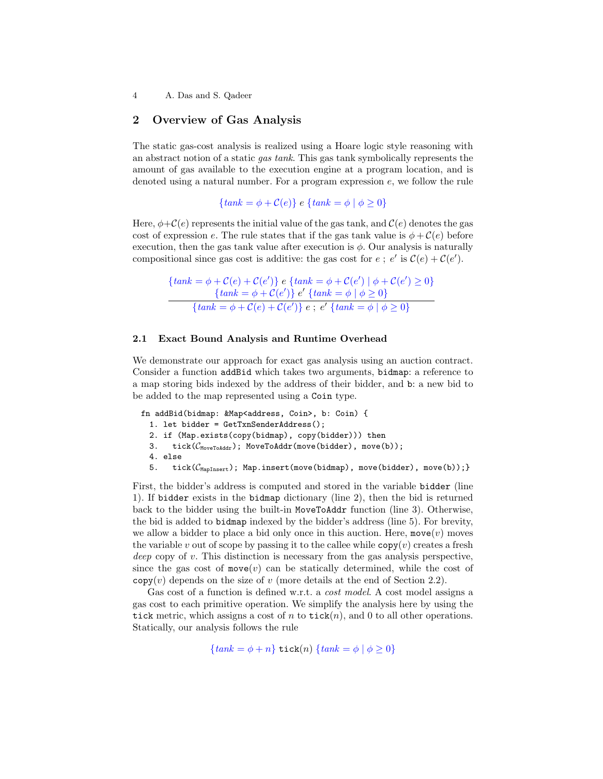# 2 Overview of Gas Analysis

The static gas-cost analysis is realized using a Hoare logic style reasoning with an abstract notion of a static gas tank. This gas tank symbolically represents the amount of gas available to the execution engine at a program location, and is denoted using a natural number. For a program expression  $e$ , we follow the rule

 $\{ tank = \phi + C(e) \} e \{ tank = \phi \mid \phi > 0 \}$ 

Here,  $\phi+\mathcal{C}(e)$  represents the initial value of the gas tank, and  $\mathcal{C}(e)$  denotes the gas cost of expression e. The rule states that if the gas tank value is  $\phi + \mathcal{C}(e)$  before execution, then the gas tank value after execution is  $\phi$ . Our analysis is naturally compositional since gas cost is additive: the gas cost for  $e$ ;  $e'$  is  $C(e) + C(e')$ .

$$
{\lbrace tank = \phi + C(e) + C(e') \rbrace e \lbrace tank = \phi + C(e') \mid \phi + C(e') \ge 0 \rbrace \over {\lbrace tank = \phi + C(e') \rbrace e' \lbrace tank = \phi \mid \phi \ge 0 \rbrace}}
$$

$$
{\lbrace tank = \phi + C(e) + C(e') \rbrace e \rbrace e \lbrace tank = \phi \mid \phi \ge 0 \rbrace}
$$

## 2.1 Exact Bound Analysis and Runtime Overhead

We demonstrate our approach for exact gas analysis using an auction contract. Consider a function addBid which takes two arguments, bidmap: a reference to a map storing bids indexed by the address of their bidder, and b: a new bid to be added to the map represented using a Coin type.

```
fn addBid(bidmap: &Map<address, Coin>, b: Coin) {
 1. let bidder = GetTxnSenderAddress();
 2. if (Map.exists(copy(bidmap), copy(bidder))) then
 3. tick(C_{\text{MoverToAddr}}); MoveToAddr(move(bidder), move(b));
 4. else
 5. tick(C_{\text{MapInsert}}); Map.insert(move(bidmap), move(bidder), move(b));}
```
First, the bidder's address is computed and stored in the variable bidder (line 1). If bidder exists in the bidmap dictionary (line 2), then the bid is returned back to the bidder using the built-in MoveToAddr function (line 3). Otherwise, the bid is added to bidmap indexed by the bidder's address (line 5). For brevity, we allow a bidder to place a bid only once in this auction. Here,  $move(v)$  moves the variable v out of scope by passing it to the callee while  $\text{copy}(v)$  creates a fresh deep copy of v. This distinction is necessary from the gas analysis perspective, since the gas cost of move(v) can be statically determined, while the cost of  $\text{copy}(v)$  depends on the size of v (more details at the end of Section 2.2).

Gas cost of a function is defined w.r.t. a *cost model*. A cost model assigns a gas cost to each primitive operation. We simplify the analysis here by using the tick metric, which assigns a cost of n to tick(n), and 0 to all other operations. Statically, our analysis follows the rule

 $\{tank = \phi + n\}$  tick(n)  $\{tank = \phi \mid \phi \geq 0\}$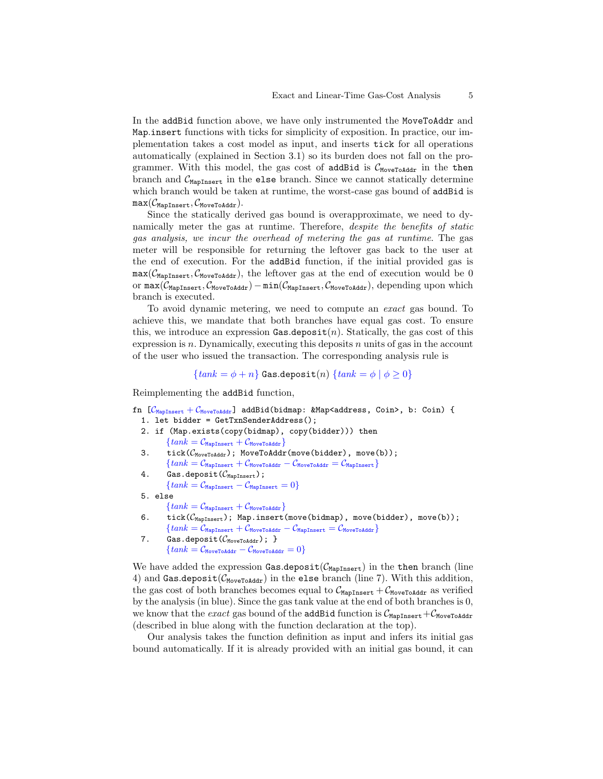In the addBid function above, we have only instrumented the MoveToAddr and Map.insert functions with ticks for simplicity of exposition. In practice, our implementation takes a cost model as input, and inserts tick for all operations automatically (explained in Section 3.1) so its burden does not fall on the programmer. With this model, the gas cost of addBid is  $C_{\text{MoveToAddr}}$  in the then branch and  $C_{\text{ManInsert}}$  in the else branch. Since we cannot statically determine which branch would be taken at runtime, the worst-case gas bound of addBid is  $max(\mathcal{C}_{\text{MapInsert}}, \mathcal{C}_{\text{MoveToAddr}}).$ 

Since the statically derived gas bound is overapproximate, we need to dynamically meter the gas at runtime. Therefore, despite the benefits of static gas analysis, we incur the overhead of metering the gas at runtime. The gas meter will be responsible for returning the leftover gas back to the user at the end of execution. For the addBid function, if the initial provided gas is  $max(\mathcal{C}_{MapInsert}, \mathcal{C}_{MoveToAddr})$ , the leftover gas at the end of execution would be 0 or  $\max(\mathcal{C}_{\text{MapInsert}},\mathcal{C}_{\text{MoveToAddr}}) - \min(\mathcal{C}_{\text{MapInsert}},\mathcal{C}_{\text{MoveToAddr}})$ , depending upon which branch is executed.

To avoid dynamic metering, we need to compute an exact gas bound. To achieve this, we mandate that both branches have equal gas cost. To ensure this, we introduce an expression  $\text{Gas.deposit}(n)$ . Statically, the gas cost of this expression is  $n$ . Dynamically, executing this deposits  $n$  units of gas in the account of the user who issued the transaction. The corresponding analysis rule is

 $\{tank = \phi + n\}$  Gas.deposit(n)  $\{tank = \phi \mid \phi \ge 0\}$ 

Reimplementing the addBid function,

fn  $[\mathcal{C}_{\text{MapInsert}} + \mathcal{C}_{\text{MoveToAddr}}]$  addBid(bidmap: &Map<address, Coin>, b: Coin) {

- 1. let bidder = GetTxnSenderAddress();
- 2. if (Map.exists(copy(bidmap), copy(bidder))) then  $\{ \textit{tank} = \mathcal{C}_{\texttt{MapInsert}} + \mathcal{C}_{\texttt{MoveToAddr}} \}$
- 3. tick( $C_{\text{MoverToAddr}}$ ); MoveToAddr(move(bidder), move(b));  $\{ \tanh = \mathcal{C}_{\mathtt{MapInsert}} + \mathcal{C}_{\mathtt{MoveToAddr}} - \mathcal{C}_{\mathtt{MoveToAddr}} = \mathcal{C}_{\mathtt{MapInsert}} \}$
- 4. Gas.deposit $(\mathcal{C}_{\text{MapInsert}})$ ;  $\{tank = \mathcal{C}_{\text{MapInsert}} - \mathcal{C}_{\text{MapInsert}} = 0\}$
- 5. else
	- $\{ \text{rank} = \mathcal{C}_{\tt{MapInsert}} + \mathcal{C}_{\tt{MoveToAddr}} \}$
- 6. tick $(\mathcal{C}_{\text{MapInsert}})$ ; Map.insert(move(bidmap), move(bidder), move(b));
	- $\{ \text{rank} = \mathcal{C}_{\texttt{MapInsert}} + \mathcal{C}_{\texttt{MoveToAddr}} \mathcal{C}_{\texttt{MapInsert}} = \mathcal{C}_{\texttt{MoveToAddr}} \}$
- 7. Gas.deposit $(\mathcal{C}_{\text{MoverToAddr}})$ ; }  $\{tank = \mathcal{C}_{\text{MoveToAddr}} - \mathcal{C}_{\text{MoveToAddr}} = 0\}$

We have added the expression  $\texttt{Gas.deposit}(\mathcal{C}_{\texttt{MapInsert}})$  in the then branch (line 4) and Gas.deposit( $C_{\text{MoveToAddr}}$ ) in the else branch (line 7). With this addition, the gas cost of both branches becomes equal to  $C_{\text{MapInsert}} + C_{\text{MoveToAddr}}$  as verified by the analysis (in blue). Since the gas tank value at the end of both branches is 0, we know that the *exact* gas bound of the **addBid** function is  $C_{\text{MapInsert}} + C_{\text{MoveToAddr}}$ (described in blue along with the function declaration at the top).

Our analysis takes the function definition as input and infers its initial gas bound automatically. If it is already provided with an initial gas bound, it can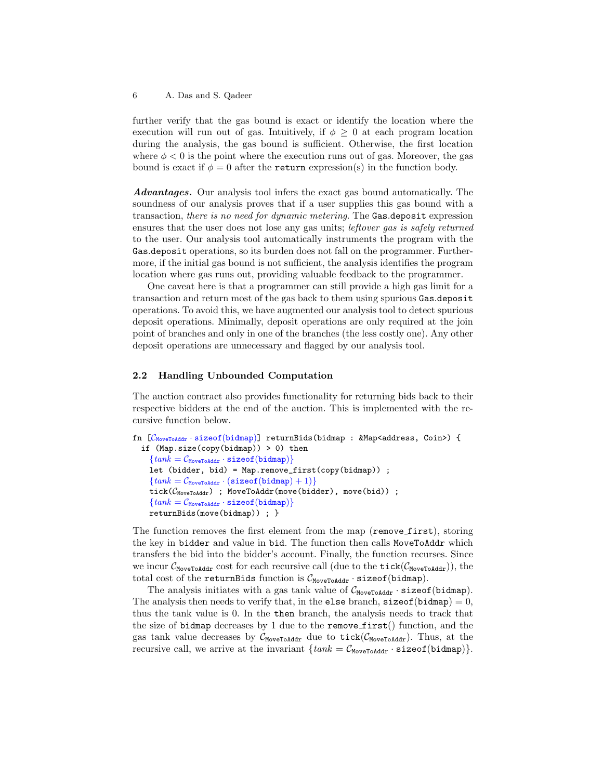further verify that the gas bound is exact or identify the location where the execution will run out of gas. Intuitively, if  $\phi \geq 0$  at each program location during the analysis, the gas bound is sufficient. Otherwise, the first location where  $\phi < 0$  is the point where the execution runs out of gas. Moreover, the gas bound is exact if  $\phi = 0$  after the **return** expression(s) in the function body.

Advantages. Our analysis tool infers the exact gas bound automatically. The soundness of our analysis proves that if a user supplies this gas bound with a transaction, there is no need for dynamic metering. The Gas.deposit expression ensures that the user does not lose any gas units; *leftover gas is safely returned* to the user. Our analysis tool automatically instruments the program with the Gas.deposit operations, so its burden does not fall on the programmer. Furthermore, if the initial gas bound is not sufficient, the analysis identifies the program location where gas runs out, providing valuable feedback to the programmer.

One caveat here is that a programmer can still provide a high gas limit for a transaction and return most of the gas back to them using spurious Gas.deposit operations. To avoid this, we have augmented our analysis tool to detect spurious deposit operations. Minimally, deposit operations are only required at the join point of branches and only in one of the branches (the less costly one). Any other deposit operations are unnecessary and flagged by our analysis tool.

# 2.2 Handling Unbounded Computation

The auction contract also provides functionality for returning bids back to their respective bidders at the end of the auction. This is implemented with the recursive function below.

```
fn [\mathcal{C}_{Movefoddar} \cdot \text{sizeof}(\text{bidmap})] returnBids(bidmap : &Map<address, Coin>) {
  if (Map.size(copy(bidmap)) > 0) then
     {tank = C_{MoveroAddr} \cdot sizeof(bidmap)}let (bidder, bid) = Map.remove_first(copy(bidmap)) ;
     {tank = C_{MoveroAdar} \cdot (sizeof(bidmap) + 1)}\texttt{tick}(\mathcal{C}_{\texttt{MoverOAddr}}) ; MoveToAddr(move(bidder), move(bid)) ;
     {tank = C_{MoveroAddr} \cdot \texttt{sizeof}(\text{bidmap})}returnBids(move(bidmap)) ; }
```
The function removes the first element from the map (remove\_first), storing the key in bidder and value in bid. The function then calls MoveToAddr which transfers the bid into the bidder's account. Finally, the function recurses. Since we incur  $\mathcal{C}_{\text{MoveToAddr}}$  cost for each recursive call (due to the  $\text{tick}(\mathcal{C}_{\text{MoveToAddr}})$ ), the total cost of the returnBids function is  $C_{Movefoddar}$  · sizeof(bidmap).

The analysis initiates with a gas tank value of  $C_{\text{Moveroddr}} \cdot \text{sizeof}(\text{bidmap}).$ The analysis then needs to verify that, in the else branch, size of  $(bidmap) = 0$ , thus the tank value is 0. In the then branch, the analysis needs to track that the size of bidmap decreases by 1 due to the remove first  $()$  function, and the gas tank value decreases by  $C_{MoveToAddr}$  due to tick( $C_{MoveToAddr}$ ). Thus, at the recursive call, we arrive at the invariant  $\{ \text{rank} = C_{\text{MoveToAddr}} \cdot \text{sizeof}(\text{bidmap}) \}.$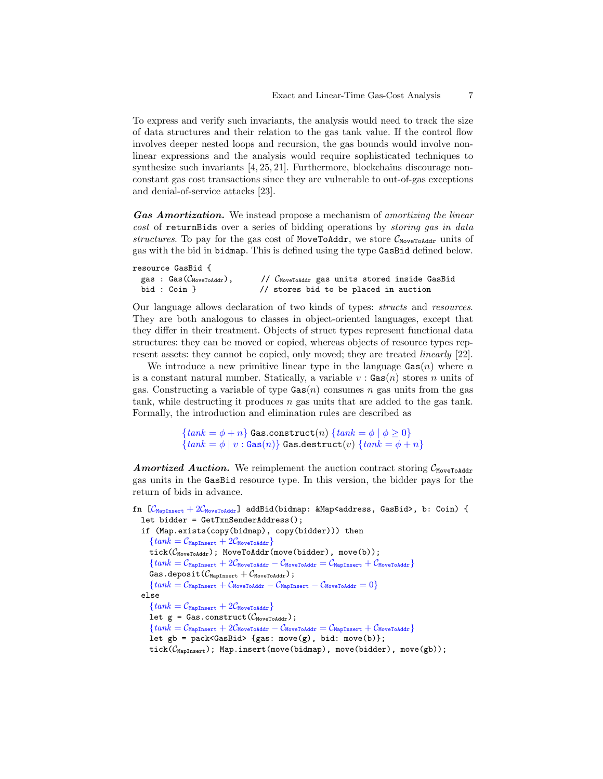To express and verify such invariants, the analysis would need to track the size of data structures and their relation to the gas tank value. If the control flow involves deeper nested loops and recursion, the gas bounds would involve nonlinear expressions and the analysis would require sophisticated techniques to synthesize such invariants [4, 25, 21]. Furthermore, blockchains discourage nonconstant gas cost transactions since they are vulnerable to out-of-gas exceptions and denial-of-service attacks [23].

Gas Amortization. We instead propose a mechanism of amortizing the linear cost of returnBids over a series of bidding operations by storing gas in data structures. To pay for the gas cost of MoveToAddr, we store  $\mathcal{C}_{\text{MoveToAddr}}$  units of gas with the bid in bidmap. This is defined using the type GasBid defined below.

```
resource GasBid {
  gas : Gas(\mathcal{C}_{\text{MoverToAddr}}), // \mathcal{C}_{\text{MoverToAddr}} gas units stored inside GasBid
  bid : Coin } \frac{1}{1} stores bid to be placed in auction
```
Our language allows declaration of two kinds of types: structs and resources. They are both analogous to classes in object-oriented languages, except that they differ in their treatment. Objects of struct types represent functional data structures: they can be moved or copied, whereas objects of resource types represent assets: they cannot be copied, only moved; they are treated *linearly* [22].

We introduce a new primitive linear type in the language  $\text{Gas}(n)$  where n is a constant natural number. Statically, a variable  $v : \text{Gas}(n)$  stores n units of gas. Constructing a variable of type  $\text{Gas}(n)$  consumes n gas units from the gas tank, while destructing it produces  $n$  gas units that are added to the gas tank. Formally, the introduction and elimination rules are described as

```
\{tank = \phi + n\} Gas.construct(n) \{tank = \phi \mid \phi \ge 0\}\{tank = \phi \mid v : \text{Gas}(n)\}\ Gas.destruct(v) \{tank = \phi + n\}
```
**Amortized Auction.** We reimplement the auction contract storing  $C_{\text{Mov} \text{eToAdd}}$ gas units in the GasBid resource type. In this version, the bidder pays for the return of bids in advance.

```
fn [\mathcal{C}_{\text{MapInsert}}+2\mathcal{C}_{\text{MoveToAddr}}] addBid(bidmap: &Map<address, GasBid>, b: Coin) {
   let bidder = GetTxnSenderAddress();
   if (Map.exists(copy(bidmap), copy(bidder))) then
       \{tank = \mathcal{C}_{\text{MapInsert}} + 2\mathcal{C}_{\text{MoveToAddr}}\}tick(\mathcal{C}_{\text{MoveToAddr}}); MoveToAddr(move(bidder), move(b));
       \{tank = \mathcal{C}_{\text{MapInsert}} + 2\mathcal{C}_{\text{MoveToAddr}} - \mathcal{C}_{\text{MoveToAddr}} = \mathcal{C}_{\text{MapInsert}} + \mathcal{C}_{\text{MoveToAddr}}\}Gas.deposit(C<sub>MapInsert</sub> + C<sub>MoveToAddr</sub>);
       \{tank = \mathcal{C}_{\text{MapInsert}} + \mathcal{C}_{\text{MoveToAddr}} - \mathcal{C}_{\text{MapInsert}} - \mathcal{C}_{\text{MoveToAddr}} = 0\}else
       \{tank = \mathcal{C}_{\text{MapInsert}} + 2\mathcal{C}_{\text{MoveToAddr}}\}let g = Gas.construct(\mathcal{C}_{MoveToAddr});\{tank = \mathcal{C}_{\text{MapInsert}} + 2\mathcal{C}_{\text{MoveToAddr}} - \mathcal{C}_{\text{MoveToAddr}} = \mathcal{C}_{\text{MapInsert}} + \mathcal{C}_{\text{MoveToAddr}}\}let gb = pack<GasBid> {gas: move(g), bid: move(b)};
      tick(C_{MapInsert}); Map.insert(move(bidmap), move(bidder), move(gb));
```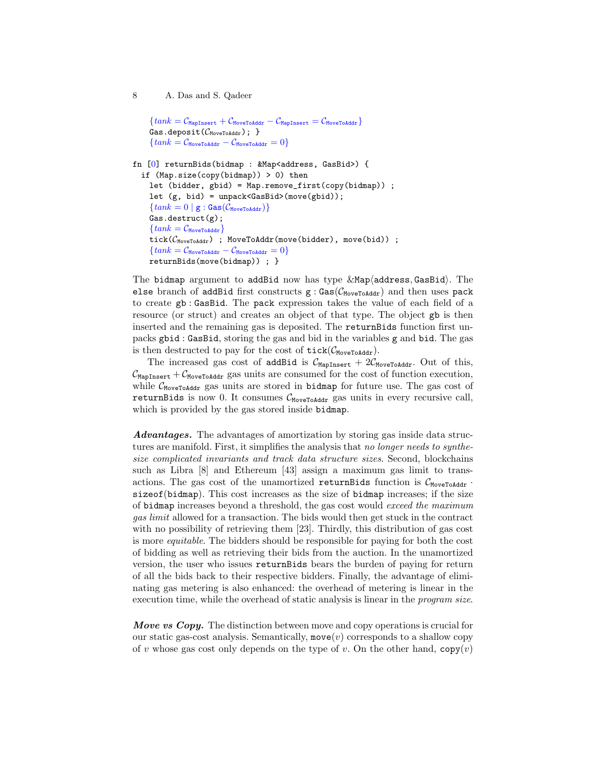```
{tank = \mathcal{C}_{\text{MapInsert}} + \mathcal{C}_{\text{MoveToAddr}} - \mathcal{C}_{\text{MapInsert}} = \mathcal{C}_{\text{MoveToAddr}}}Gas.deposit(<math>C_{MoveroAddr}</math>);\{tank = \mathcal{C}_{\text{MoveToAddr}} - \mathcal{C}_{\text{MoveToAddr}} = 0\}fn [0] returnBids(bidmap : &Map<address, GasBid>) {
  if (Map.size(copy(bidmap)) > 0) then
     let (bidder, gbid) = Map.remove_first(copy(bidmap)) ;
     let (g, bid) = unpack<GasBid>(move(gbid));
      \{ \text{tank} = 0 \mid \texttt{g} : \texttt{Gas}(\mathcal{C}_{\texttt{MoveToAddr}}) \}Gas.destruct(g);\{tank = C_{\text{MoveToAddr}}\}tick(\mathcal{C}_{MoverOddar}); MoveToAddr(move(bidder), move(bid));
      \{tank = \mathcal{C}_{\text{MoveToAddr}} - \mathcal{C}_{\text{MoveToAddr}} = 0\}returnBids(move(bidmap)) ; }
```
The bidmap argument to addBid now has type  $\&$ Map $\langle$ address, GasBid $\rangle$ . The else branch of addBid first constructs  $g : Gas(\mathcal{C}_{MoveToAddr})$  and then uses pack to create gb : GasBid. The pack expression takes the value of each field of a resource (or struct) and creates an object of that type. The object gb is then inserted and the remaining gas is deposited. The returnBids function first unpacks gbid : GasBid, storing the gas and bid in the variables g and bid. The gas is then destructed to pay for the cost of  $\texttt{tick}(C_{\texttt{MoveToAddr}})$ .

The increased gas cost of addBid is  $C_{\text{MapInsert}} + 2C_{\text{MoveToAddr}}$ . Out of this,  $\mathcal{C}_{\text{MapInsert}} + \mathcal{C}_{\text{MoveToAddr}}$  gas units are consumed for the cost of function execution, while  $\mathcal{C}_{\text{MoverToAddr}}$  gas units are stored in bidmap for future use. The gas cost of returnBids is now 0. It consumes  $C_{\text{MoveToAddr}}$  gas units in every recursive call, which is provided by the gas stored inside bidmap.

Advantages. The advantages of amortization by storing gas inside data structures are manifold. First, it simplifies the analysis that no longer needs to synthesize complicated invariants and track data structure sizes. Second, blockchains such as Libra [8] and Ethereum [43] assign a maximum gas limit to transactions. The gas cost of the unamortized returnBids function is  $C_{\text{Moveroddr}}$ . sizeof(bidmap). This cost increases as the size of bidmap increases; if the size of bidmap increases beyond a threshold, the gas cost would exceed the maximum gas limit allowed for a transaction. The bids would then get stuck in the contract with no possibility of retrieving them [23]. Thirdly, this distribution of gas cost is more equitable. The bidders should be responsible for paying for both the cost of bidding as well as retrieving their bids from the auction. In the unamortized version, the user who issues returnBids bears the burden of paying for return of all the bids back to their respective bidders. Finally, the advantage of eliminating gas metering is also enhanced: the overhead of metering is linear in the execution time, while the overhead of static analysis is linear in the program size.

**Move vs Copy.** The distinction between move and copy operations is crucial for our static gas-cost analysis. Semantically,  $move(v)$  corresponds to a shallow copy of v whose gas cost only depends on the type of v. On the other hand,  $\text{copy}(v)$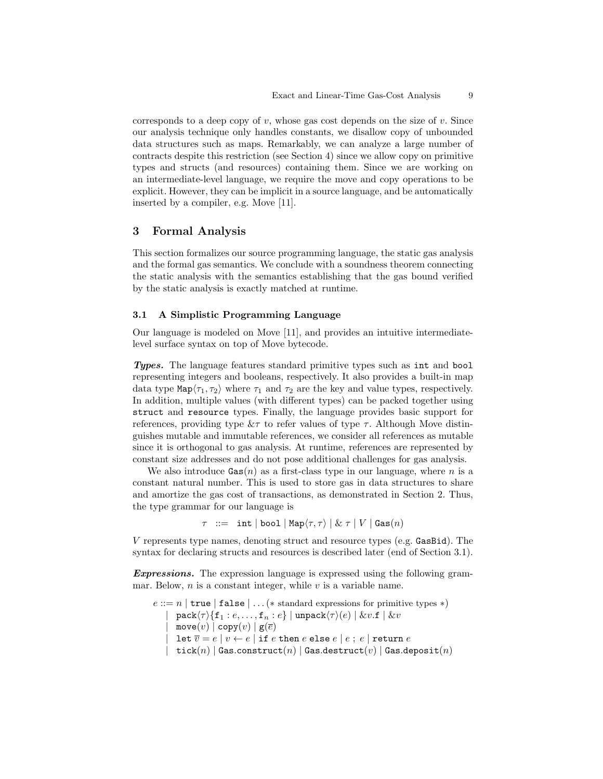corresponds to a deep copy of  $v$ , whose gas cost depends on the size of  $v$ . Since our analysis technique only handles constants, we disallow copy of unbounded data structures such as maps. Remarkably, we can analyze a large number of contracts despite this restriction (see Section 4) since we allow copy on primitive types and structs (and resources) containing them. Since we are working on an intermediate-level language, we require the move and copy operations to be explicit. However, they can be implicit in a source language, and be automatically inserted by a compiler, e.g. Move [11].

# 3 Formal Analysis

This section formalizes our source programming language, the static gas analysis and the formal gas semantics. We conclude with a soundness theorem connecting the static analysis with the semantics establishing that the gas bound verified by the static analysis is exactly matched at runtime.

# 3.1 A Simplistic Programming Language

Our language is modeled on Move [11], and provides an intuitive intermediatelevel surface syntax on top of Move bytecode.

Types. The language features standard primitive types such as int and bool representing integers and booleans, respectively. It also provides a built-in map data type Map $\langle \tau_1, \tau_2 \rangle$  where  $\tau_1$  and  $\tau_2$  are the key and value types, respectively. In addition, multiple values (with different types) can be packed together using struct and resource types. Finally, the language provides basic support for references, providing type  $&\tau$  to refer values of type  $\tau$ . Although Move distinguishes mutable and immutable references, we consider all references as mutable since it is orthogonal to gas analysis. At runtime, references are represented by constant size addresses and do not pose additional challenges for gas analysis.

We also introduce  $\text{Gas}(n)$  as a first-class type in our language, where n is a constant natural number. This is used to store gas in data structures to share and amortize the gas cost of transactions, as demonstrated in Section 2. Thus, the type grammar for our language is

 $\tau$  ::= int | bool | Map $\langle \tau, \tau \rangle$  |  $\& \tau$  |  $V$  | Gas $(n)$ 

V represents type names, denoting struct and resource types (e.g. GasBid). The syntax for declaring structs and resources is described later (end of Section 3.1).

Expressions. The expression language is expressed using the following grammar. Below,  $n$  is a constant integer, while  $v$  is a variable name.

 $e ::= n \mid \text{true} \mid \text{false} \mid ... (*)$  standard expressions for primitive types  $*)$  $\texttt{pack}\langle \tau \rangle \{\texttt{f}_1 : e, \ldots, \texttt{f}_n : e\} | \texttt{unpack}\langle \tau \rangle(e) | \&v.\texttt{f} | \&v$  $move(v) | copy(v) | g(\overline{e})$ let  $\overline{v} = e | v \leftarrow e |$  if  $e$  then  $e$  else  $e | e ; e |$  return  $e$  $\texttt{tick}(n) \mid \texttt{Gas.construct}(n) \mid \texttt{Gas.destruct}(v) \mid \texttt{Gas.deposit}(n)$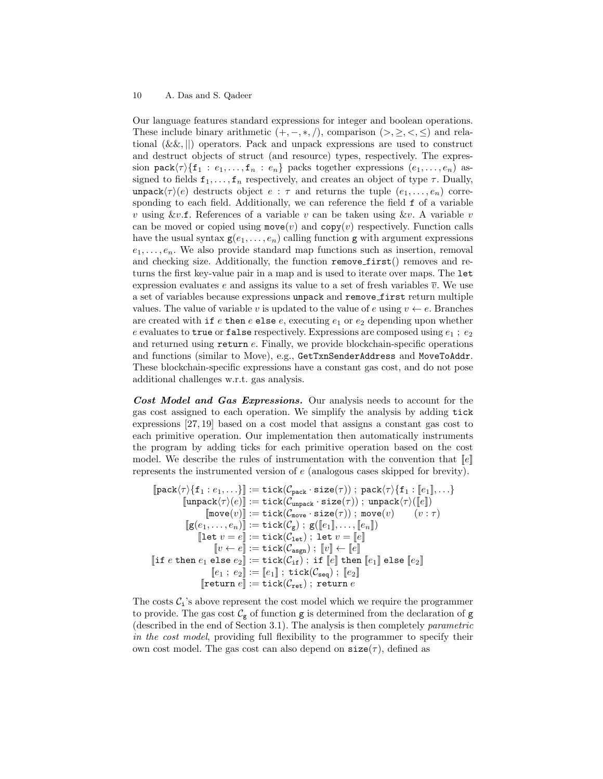Our language features standard expressions for integer and boolean operations. These include binary arithmetic  $(+, -, *, /)$ , comparison  $(>, \geq, <, \leq)$  and relational  $(\&\&\,,\,||)$  operators. Pack and unpack expressions are used to construct and destruct objects of struct (and resource) types, respectively. The expression pack $\langle \tau \rangle \{f_1 : e_1, \ldots, f_n : e_n\}$  packs together expressions  $(e_1, \ldots, e_n)$  assigned to fields  $f_1, \ldots, f_n$  respectively, and creates an object of type  $\tau$ . Dually, unpack $\langle \tau \rangle (e)$  destructs object  $e : \tau$  and returns the tuple  $(e_1, \ldots, e_n)$  corresponding to each field. Additionally, we can reference the field  $f$  of a variable v using  $\&v$ .f. References of a variable v can be taken using  $\&v$ . A variable v can be moved or copied using  $move(v)$  and  $copy(v)$  respectively. Function calls have the usual syntax  $g(e_1, \ldots, e_n)$  calling function g with argument expressions  $e_1, \ldots, e_n$ . We also provide standard map functions such as insertion, removal and checking size. Additionally, the function remove first() removes and returns the first key-value pair in a map and is used to iterate over maps. The let expression evaluates e and assigns its value to a set of fresh variables  $\overline{v}$ . We use a set of variables because expressions unpack and remove first return multiple values. The value of variable v is updated to the value of e using  $v \leftarrow e$ . Branches are created with if e then e else e, executing  $e_1$  or  $e_2$  depending upon whether e evaluates to true or false respectively. Expressions are composed using  $e_1$ ;  $e_2$ and returned using return e. Finally, we provide blockchain-specific operations and functions (similar to Move), e.g., GetTxnSenderAddress and MoveToAddr. These blockchain-specific expressions have a constant gas cost, and do not pose additional challenges w.r.t. gas analysis.

Cost Model and Gas Expressions. Our analysis needs to account for the gas cost assigned to each operation. We simplify the analysis by adding tick expressions [27, 19] based on a cost model that assigns a constant gas cost to each primitive operation. Our implementation then automatically instruments the program by adding ticks for each primitive operation based on the cost model. We describe the rules of instrumentation with the convention that  $\llbracket e \rrbracket$ represents the instrumented version of e (analogous cases skipped for brevity).

[[packhτ i{f<sup>1</sup> : e1, . . .}]] := tick(Cpack · size(τ )) ; packhτ i{f<sup>1</sup> : [[e1]], . . .} [[unpackhτ i(e)]] := tick(Cunpack · size(τ )) ; unpackhτ i([[e]]) [[move(v)]] := tick(Cmove · size(τ )) ; move(v) (v : τ ) [[g(e1, . . . , en)]] := tick(Cg) ; g([[e1]], . . . , [[en]]) [[let v = e]] := tick(Clet) ; let v = [[e]] [[v ← e]] := tick(Casgn) ; [[v]] ← [[e]] [[if e then e<sup>1</sup> else e2]] := tick(Cif) ; if [[e]] then [[e1]] else [[e2]] [[e<sup>1</sup> ; e2]] := [[e1]] ; tick(Cseq) ; [[e2]] [[return e]] := tick(Cret) ; return e

The costs  $C_i$ 's above represent the cost model which we require the programmer to provide. The gas cost  $\mathcal{C}_{g}$  of function g is determined from the declaration of g (described in the end of Section 3.1). The analysis is then completely parametric in the cost model, providing full flexibility to the programmer to specify their own cost model. The gas cost can also depend on  $size(\tau)$ , defined as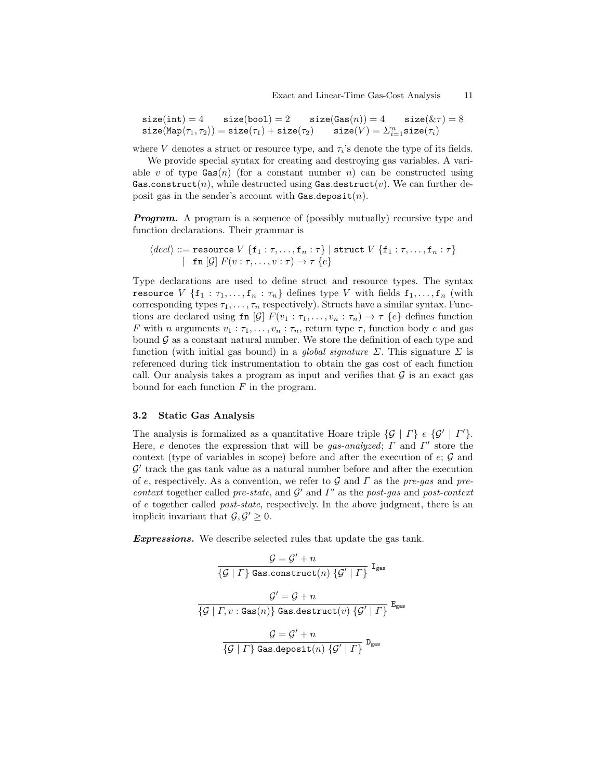$size(int) = 4$   $size(bool) = 2$   $size(Gas(n)) = 4$   $size(K\tau) = 8$  $\mathtt{size}(\mathtt{Map}\langle\tau_1, \tau_2\rangle) = \mathtt{size}(\tau_1) + \mathtt{size}(\tau_2)$  $size(V) = \sum_{i=1}^{n}size(\tau_i)$ 

where V denotes a struct or resource type, and  $\tau_i$ 's denote the type of its fields.

We provide special syntax for creating and destroying gas variables. A variable v of type  $\text{Gas}(n)$  (for a constant number n) can be constructed using Gas.construct(n), while destructed using Gas.destruct(v). We can further deposit gas in the sender's account with  $\texttt{Gas.deposit}(n)$ .

**Program.** A program is a sequence of (possibly mutually) recursive type and function declarations. Their grammar is

$$
\langle decl \rangle ::= \text{resource } V \{ f_1 : \tau, \dots, f_n : \tau \} | \text{ struct } V \{ f_1 : \tau, \dots, f_n : \tau \} | \text{ find } G \mid F(v : \tau, \dots, v : \tau) \to \tau \{ e \}
$$

Type declarations are used to define struct and resource types. The syntax resource  $V \{f_1 : \tau_1, \ldots, f_n : \tau_n\}$  defines type V with fields  $f_1, \ldots, f_n$  (with corresponding types  $\tau_1, \ldots, \tau_n$  respectively). Structs have a similar syntax. Functions are declared using  $\text{fn}[\mathcal{G}]$   $F(v_1 : \tau_1, \ldots, v_n : \tau_n) \to \tau \{e\}$  defines function F with n arguments  $v_1 : \tau_1, \ldots, v_n : \tau_n$ , return type  $\tau$ , function body e and gas bound  $\mathcal G$  as a constant natural number. We store the definition of each type and function (with initial gas bound) in a *global signature*  $\Sigma$ . This signature  $\Sigma$  is referenced during tick instrumentation to obtain the gas cost of each function call. Our analysis takes a program as input and verifies that  $\mathcal G$  is an exact gas bound for each function  $F$  in the program.

## 3.2 Static Gas Analysis

The analysis is formalized as a quantitative Hoare triple  $\{G \mid \Gamma\}$  e  $\{G' \mid \Gamma'\}$ . Here, e denotes the expression that will be gas-analyzed;  $\Gamma$  and  $\Gamma'$  store the context (type of variables in scope) before and after the execution of  $e$ ;  $\mathcal G$  and  $\mathcal{G}'$  track the gas tank value as a natural number before and after the execution of e, respectively. As a convention, we refer to  $\mathcal G$  and  $\Gamma$  as the pre-gas and precontext together called pre-state, and  $\mathcal{G}'$  and  $\Gamma'$  as the post-gas and post-context of e together called post-state, respectively. In the above judgment, there is an implicit invariant that  $\mathcal{G}, \mathcal{G}' \geq 0$ .

Expressions. We describe selected rules that update the gas tank.

$$
\frac{\mathcal{G} = \mathcal{G}' + n}{\{\mathcal{G} \mid \Gamma\} \text{ Gas.construct}(n) \{\mathcal{G}' \mid \Gamma\}} \mathbb{I}_{\text{gas}}
$$
\n
$$
\frac{\mathcal{G}' = \mathcal{G} + n}{\{\mathcal{G} \mid \Gamma, v : \text{Gas}(n)\} \text{Gas.destruct}(v) \{\mathcal{G}' \mid \Gamma\}} \mathbb{E}_{\text{gas}}
$$
\n
$$
\frac{\mathcal{G} = \mathcal{G}' + n}{\{\mathcal{G} \mid \Gamma\} \text{Gas.deposit}(n) \{\mathcal{G}' \mid \Gamma\}} \mathbb{D}_{\text{gas}}
$$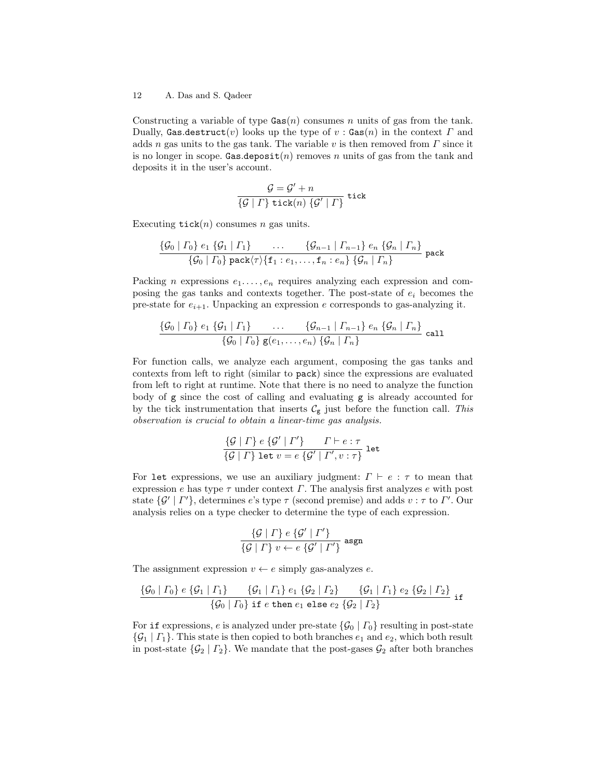Constructing a variable of type  $\text{Gas}(n)$  consumes n units of gas from the tank. Dually, Gas.destruct(v) looks up the type of v:  $\text{Gas}(n)$  in the context  $\Gamma$  and adds n gas units to the gas tank. The variable v is then removed from  $\Gamma$  since it is no longer in scope. Gas.deposit $(n)$  removes n units of gas from the tank and deposits it in the user's account.

$$
\frac{\mathcal{G} = \mathcal{G}' + n}{\{\mathcal{G} \mid \Gamma\} \ \mathtt{tick}(n) \ \{\mathcal{G}' \mid \Gamma\}} \ \mathtt{tick}
$$

Executing  $\text{tick}(n)$  consumes n gas units.

$$
\frac{\{\mathcal{G}_0 \mid \varGamma_0\} \; e_1 \; \{\mathcal{G}_1 \mid \varGamma_1\} \quad \ \ldots \quad \ \, \{\mathcal{G}_{n-1} \mid \varGamma_{n-1}\} \; e_n \; \{\mathcal{G}_n \mid \varGamma_n\}}{\{\mathcal{G}_0 \mid \varGamma_0\} \; \texttt{pack}\langle\tau\rangle \{\mathsf{f}_1:e_1,\ldots,\mathsf{f}_n:e_n\} \; \{\mathcal{G}_n \mid \varGamma_n\}} \; \texttt{pack}
$$

Packing n expressions  $e_1, \ldots, e_n$  requires analyzing each expression and composing the gas tanks and contexts together. The post-state of  $e_i$  becomes the pre-state for  $e_{i+1}$ . Unpacking an expression e corresponds to gas-analyzing it.

$$
\frac{\left\{\mathcal{G}_0 \mid \varGamma_0\right\} \,e_1\,\left\{\mathcal{G}_1 \mid \varGamma_1\right\}\,}{\left\{\mathcal{G}_0 \mid \varGamma_0\right\}\, \mathsf{g}(e_1,\ldots,e_n)\,\left\{\mathcal{G}_n \mid \varGamma_{n-1}\right\}\,e_n\,\left\{\mathcal{G}_n \mid \varGamma_n\right\}}\text{ call }
$$

For function calls, we analyze each argument, composing the gas tanks and contexts from left to right (similar to pack) since the expressions are evaluated from left to right at runtime. Note that there is no need to analyze the function body of g since the cost of calling and evaluating g is already accounted for by the tick instrumentation that inserts  $\mathcal{C}_{g}$  just before the function call. This observation is crucial to obtain a linear-time gas analysis.

$$
\frac{\{\mathcal{G} \mid \Gamma\} \ e \ \{\mathcal{G}' \mid \Gamma'\}}{\{\mathcal{G} \mid \Gamma\} \ \mathtt{let} \ v = e \ \{\mathcal{G}' \mid \Gamma', v : \tau\}} \ \mathtt{let}
$$

For let expressions, we use an auxiliary judgment:  $\Gamma \vdash e : \tau$  to mean that expression e has type  $\tau$  under context  $\Gamma$ . The analysis first analyzes e with post state  $\{\mathcal{G}' | \Gamma'\},$  determines e's type  $\tau$  (second premise) and adds  $v : \tau$  to  $\Gamma'$ . Our analysis relies on a type checker to determine the type of each expression.

$$
\frac{\{\mathcal{G}\mid\varGamma\}\,e\;\{\mathcal{G}'\mid\varGamma'\}}{\{\mathcal{G}\mid\varGamma\}\;v\leftarrow e\;\{\mathcal{G}'\mid\varGamma'\}}\;\texttt{asgn}
$$

The assignment expression  $v \leftarrow e$  simply gas-analyzes e.

$$
\frac{\{\mathcal{G}_0 | \Gamma_0\} e \{\mathcal{G}_1 | \Gamma_1\}}{\{\mathcal{G}_0 | \Gamma_0\} if e then e_1 else e_2 \{\mathcal{G}_2 | \Gamma_2\}} \text{ if } \\
$$

For if expressions, e is analyzed under pre-state  $\{\mathcal{G}_0 | T_0\}$  resulting in post-state  ${\mathcal{G}_1 | \Gamma_1}.$  This state is then copied to both branches  $e_1$  and  $e_2$ , which both result in post-state  $\{\mathcal{G}_2 \mid \Gamma_2\}$ . We mandate that the post-gases  $\mathcal{G}_2$  after both branches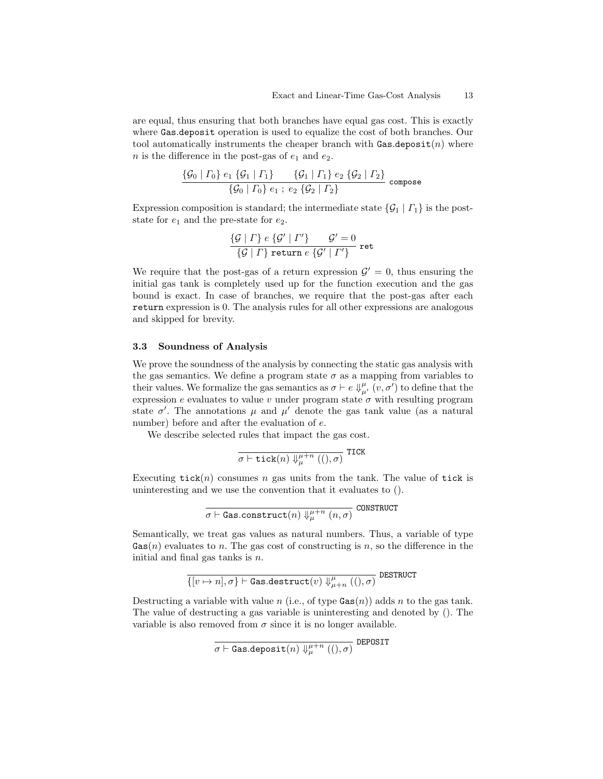are equal, thus ensuring that both branches have equal gas cost. This is exactly where Gas.deposit operation is used to equalize the cost of both branches. Our tool automatically instruments the cheaper branch with  $\texttt{Gas.deposit}(n)$  where *n* is the difference in the post-gas of  $e_1$  and  $e_2$ .

$$
\frac{\{\mathcal{G}_0 | \Gamma_0\} e_1 \{\mathcal{G}_1 | \Gamma_1\} \qquad \{\mathcal{G}_1 | \Gamma_1\} e_2 \{\mathcal{G}_2 | \Gamma_2\}}{\{\mathcal{G}_0 | \Gamma_0\} e_1; e_2 \{\mathcal{G}_2 | \Gamma_2\}} \text{ compose}
$$

Expression composition is standard; the intermediate state  $\{\mathcal{G}_1 \mid \Gamma_1\}$  is the poststate for  $e_1$  and the pre-state for  $e_2$ .

$$
\frac{\{\mathcal{G} \mid \varGamma\} \ e \ \{\mathcal{G}' \mid \varGamma'\} \qquad \mathcal{G}'=0}{\{\mathcal{G} \mid \varGamma\} \ \text{return} \ e \ \{\mathcal{G}' \mid \varGamma'\}} \ \text{ret}
$$

We require that the post-gas of a return expression  $\mathcal{G}' = 0$ , thus ensuring the initial gas tank is completely used up for the function execution and the gas bound is exact. In case of branches, we require that the post-gas after each return expression is 0. The analysis rules for all other expressions are analogous and skipped for brevity.

# 3.3 Soundness of Analysis

We prove the soundness of the analysis by connecting the static gas analysis with the gas semantics. We define a program state  $\sigma$  as a mapping from variables to their values. We formalize the gas semantics as  $\sigma \vdash e \Downarrow_{\mu'}^{\mu} (v, \sigma')$  to define that the expression $e$  evaluates to value  $v$  under program state  $\sigma$  with resulting program state  $\sigma'$ . The annotations  $\mu$  and  $\mu'$  denote the gas tank value (as a natural number) before and after the evaluation of  $e$ .

We describe selected rules that impact the gas cost.

$$
\overline{\sigma \vdash \texttt{tick}(n) \Downarrow^{ \mu + n }_{ \mu } \left( ( ), \sigma \right) } \; \texttt{TICK}
$$

Executing tick(n) consumes n gas units from the tank. The value of tick is uninteresting and we use the convention that it evaluates to ().

$$
\overline{\sigma \vdash \texttt{Gas.construct}(n) \Downarrow_{\mu}^{\mu + n}(n, \sigma)} \text{ CONSTRUCT}
$$

Semantically, we treat gas values as natural numbers. Thus, a variable of type  $\text{Gas}(n)$  evaluates to n. The gas cost of constructing is n, so the difference in the initial and final gas tanks is  $n$ .

$$
\overline{\left\{[v \mapsto n], \sigma\right\} \vdash \texttt{Gas.destruct}(v) \Downarrow_{\mu+n}^{\mu}((), \sigma)} \texttt{DEFRUCT}
$$

Destructing a variable with value n (i.e., of type  $\text{Gas}(n)$ ) adds n to the gas tank. The value of destructing a gas variable is uninteresting and denoted by (). The variable is also removed from  $\sigma$  since it is no longer available.

$$
\overline{\sigma \vdash \texttt{Gas.deposit}(n) \Downarrow_{\mu}^{\mu + n} ((), \sigma)} \; \texttt{DEPOST}
$$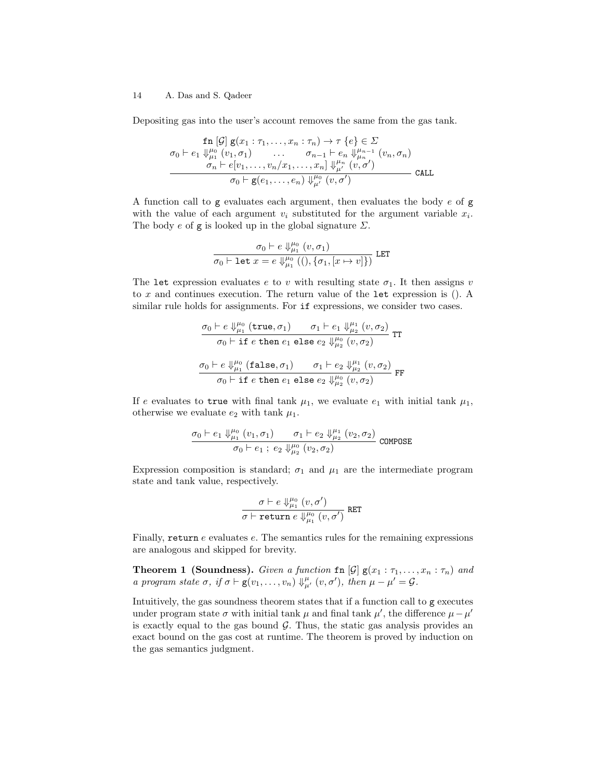Depositing gas into the user's account removes the same from the gas tank.

$$
\frac{\operatorname{fn}[\mathcal{G}] \mathbf{g}(x_1 : \tau_1, \dots, x_n : \tau_n) \to \tau \{e\} \in \Sigma}{\sigma_0 \vdash e_1 \Downarrow_{\mu_1}^{\mu_0} (v_1, \sigma_1) \qquad \dots \qquad \sigma_{n-1} \vdash e_n \Downarrow_{\mu_n}^{\mu_{n-1}} (v_n, \sigma_n)}
$$
\n
$$
\frac{\sigma_n \vdash e[v_1, \dots, v_n/x_1, \dots, x_n] \Downarrow_{\mu'}^{\mu_n} (v, \sigma')}{\sigma_0 \vdash \mathbf{g}(e_1, \dots, e_n) \Downarrow_{\mu'}^{\mu_0} (v, \sigma')}
$$
CALL

A function call to g evaluates each argument, then evaluates the body  $e$  of g with the value of each argument  $v_i$  substituted for the argument variable  $x_i$ . The body e of g is looked up in the global signature  $\Sigma$ .

$$
\dfrac{\sigma_0 \vdash e\Downarrow^{\mu_0}_{\mu_1}(v, \sigma_1)}{\sigma_0 \vdash \texttt{let } x = e\Downarrow^{\mu_0}_{\mu_1}((), \{\sigma_1, [x \mapsto v]\})} \text{ left}
$$

The let expression evaluates e to v with resulting state  $\sigma_1$ . It then assigns v to  $x$  and continues execution. The return value of the let expression is  $()$ . A similar rule holds for assignments. For if expressions, we consider two cases.

$$
\begin{aligned} \frac{\sigma_0 \vdash e\Downarrow^{\mu_0}_{\mu_1}\left(\mathtt{true},\sigma_1\right) \qquad &\sigma_1 \vdash e_1\Downarrow^{\mu_1}_{\mu_2}\left(v,\sigma_2\right)}{\sigma_0 \vdash \mathtt{if}\; e\;\mathtt{then}\; e_1\;\mathtt{else}\; e_2\Downarrow^{\mu_0}_{\mu_2}\left(v,\sigma_2\right)}\;\mathtt{TT} \\ \frac{\sigma_0 \vdash e\Downarrow^{\mu_0}_{\mu_1}\left(\mathtt{false},\sigma_1\right) \qquad &\sigma_1 \vdash e_2\Downarrow^{\mu_1}_{\mu_2}\left(v,\sigma_2\right)}{\sigma_0 \vdash \mathtt{if}\; e\;\mathtt{then}\; e_1\;\mathtt{else}\; e_2\Downarrow^{\mu_0}_{\mu_2}\left(v,\sigma_2\right)}\;\mathtt{FF} \end{aligned}
$$

If e evaluates to true with final tank  $\mu_1$ , we evaluate  $e_1$  with initial tank  $\mu_1$ , otherwise we evaluate  $e_2$  with tank  $\mu_1$ .

$$
\frac{\sigma_0 \vdash e_1 \Downarrow^{\mu_0}_{\mu_1} (v_1, \sigma_1) \qquad \sigma_1 \vdash e_2 \Downarrow^{\mu_1}_{\mu_2} (v_2, \sigma_2)}{\sigma_0 \vdash e_1 \; ; \; e_2 \Downarrow^{\mu_0}_{\mu_2} (v_2, \sigma_2)} \text{ complex}
$$

Expression composition is standard;  $\sigma_1$  and  $\mu_1$  are the intermediate program state and tank value, respectively.

$$
\dfrac{\sigma \vdash e\Downarrow^{\mu_{0}}_{\mu_{1}}(v, \sigma')}{\sigma \vdash \texttt{return } e\Downarrow^{\mu_{0}}_{\mu_{1}}(v, \sigma')}\text{ RET}
$$

Finally, return e evaluates e. The semantics rules for the remaining expressions are analogous and skipped for brevity.

**Theorem 1 (Soundness).** Given a function  $\text{fn}[\mathcal{G}]$   $g(x_1 : \tau_1, \ldots, x_n : \tau_n)$  and a program state  $\sigma$ , if  $\sigma \vdash g(v_1, \ldots, v_n) \Downarrow^{\mu}_{\mu'} (v, \sigma')$ , then  $\mu - \mu' = \mathcal{G}$ .

Intuitively, the gas soundness theorem states that if a function call to g executes under program state  $\sigma$  with initial tank  $\mu$  and final tank  $\mu'$ , the difference  $\mu - \mu'$ is exactly equal to the gas bound  $\mathcal{G}$ . Thus, the static gas analysis provides an exact bound on the gas cost at runtime. The theorem is proved by induction on the gas semantics judgment.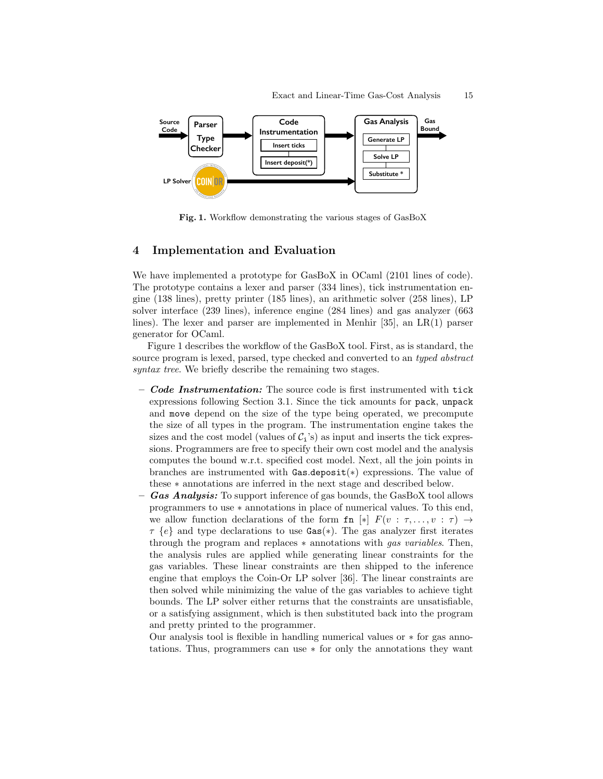

Fig. 1. Workflow demonstrating the various stages of GasBoX

# 4 Implementation and Evaluation

We have implemented a prototype for GasBoX in OCaml (2101 lines of code). The prototype contains a lexer and parser (334 lines), tick instrumentation engine (138 lines), pretty printer (185 lines), an arithmetic solver (258 lines), LP solver interface (239 lines), inference engine (284 lines) and gas analyzer (663 lines). The lexer and parser are implemented in Menhir [35], an LR(1) parser generator for OCaml.

Figure 1 describes the workflow of the GasBoX tool. First, as is standard, the source program is lexed, parsed, type checked and converted to an typed abstract syntax tree. We briefly describe the remaining two stages.

- $-$  Code Instrumentation: The source code is first instrumented with tick expressions following Section 3.1. Since the tick amounts for pack, unpack and move depend on the size of the type being operated, we precompute the size of all types in the program. The instrumentation engine takes the sizes and the cost model (values of  $C_i$ 's) as input and inserts the tick expressions. Programmers are free to specify their own cost model and the analysis computes the bound w.r.t. specified cost model. Next, all the join points in branches are instrumented with Gas.deposit(∗) expressions. The value of these ∗ annotations are inferred in the next stage and described below.
- Gas Analysis: To support inference of gas bounds, the GasBoX tool allows programmers to use ∗ annotations in place of numerical values. To this end, we allow function declarations of the form fn [\*]  $F(v : \tau, \ldots, v : \tau) \rightarrow$  $\tau \{e\}$  and type declarations to use  $\text{Gas}(*)$ . The gas analyzer first iterates through the program and replaces ∗ annotations with gas variables. Then, the analysis rules are applied while generating linear constraints for the gas variables. These linear constraints are then shipped to the inference engine that employs the Coin-Or LP solver [36]. The linear constraints are then solved while minimizing the value of the gas variables to achieve tight bounds. The LP solver either returns that the constraints are unsatisfiable, or a satisfying assignment, which is then substituted back into the program and pretty printed to the programmer.

Our analysis tool is flexible in handling numerical values or ∗ for gas annotations. Thus, programmers can use ∗ for only the annotations they want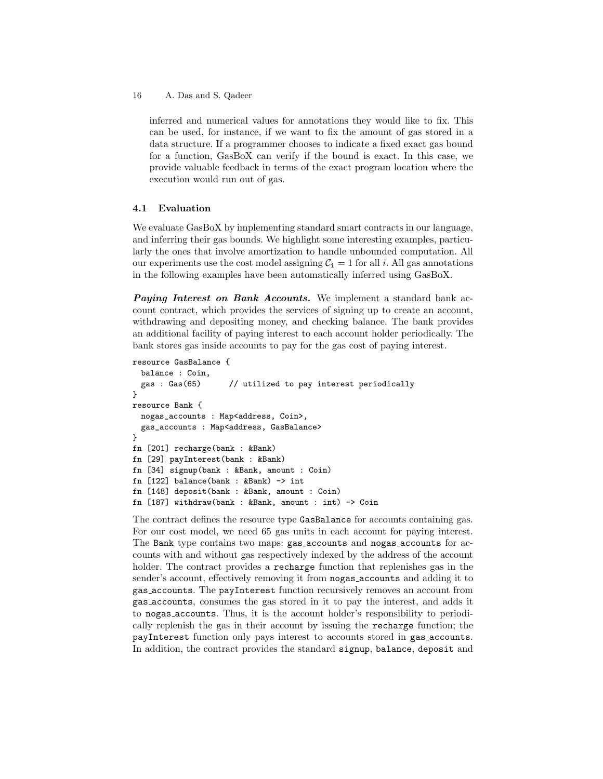inferred and numerical values for annotations they would like to fix. This can be used, for instance, if we want to fix the amount of gas stored in a data structure. If a programmer chooses to indicate a fixed exact gas bound for a function, GasBoX can verify if the bound is exact. In this case, we provide valuable feedback in terms of the exact program location where the execution would run out of gas.

## 4.1 Evaluation

We evaluate GasBoX by implementing standard smart contracts in our language, and inferring their gas bounds. We highlight some interesting examples, particularly the ones that involve amortization to handle unbounded computation. All our experiments use the cost model assigning  $C_i = 1$  for all i. All gas annotations in the following examples have been automatically inferred using GasBoX.

Paying Interest on Bank Accounts. We implement a standard bank account contract, which provides the services of signing up to create an account, withdrawing and depositing money, and checking balance. The bank provides an additional facility of paying interest to each account holder periodically. The bank stores gas inside accounts to pay for the gas cost of paying interest.

```
resource GasBalance {
 balance : Coin,
 gas : Gas(65) // utilized to pay interest periodically
}
resource Bank {
 nogas_accounts : Map<address, Coin>,
 gas_accounts : Map<address, GasBalance>
}
fn [201] recharge(bank : &Bank)
fn [29] payInterest(bank : &Bank)
fn [34] signup(bank : &Bank, amount : Coin)
fn [122] balance(bank : &Bank) -> int
fn [148] deposit(bank : &Bank, amount : Coin)
fn [187] withdraw(bank : &Bank, amount : int) -> Coin
```
The contract defines the resource type GasBalance for accounts containing gas. For our cost model, we need 65 gas units in each account for paying interest. The Bank type contains two maps: gas accounts and nogas accounts for accounts with and without gas respectively indexed by the address of the account holder. The contract provides a recharge function that replenishes gas in the sender's account, effectively removing it from nogas accounts and adding it to gas accounts. The payInterest function recursively removes an account from gas accounts, consumes the gas stored in it to pay the interest, and adds it to nogas accounts. Thus, it is the account holder's responsibility to periodically replenish the gas in their account by issuing the recharge function; the payInterest function only pays interest to accounts stored in gas accounts. In addition, the contract provides the standard signup, balance, deposit and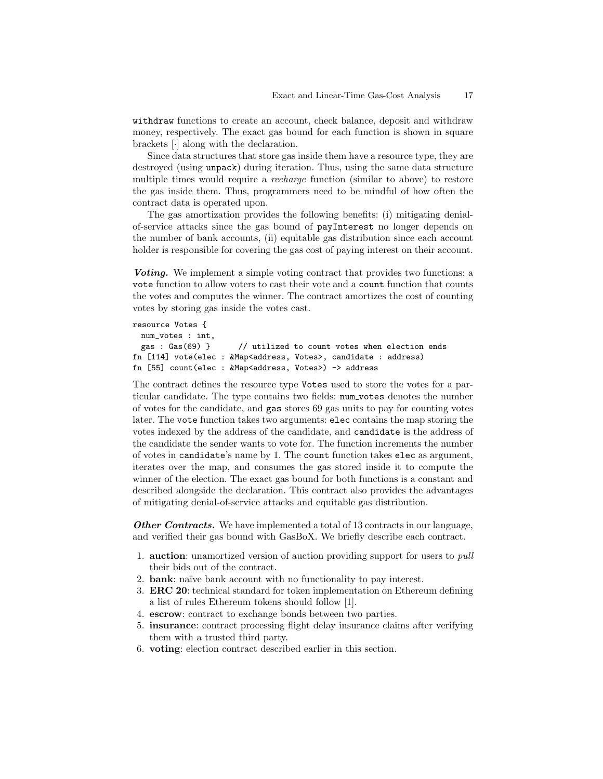withdraw functions to create an account, check balance, deposit and withdraw money, respectively. The exact gas bound for each function is shown in square brackets [·] along with the declaration.

Since data structures that store gas inside them have a resource type, they are destroyed (using unpack) during iteration. Thus, using the same data structure multiple times would require a recharge function (similar to above) to restore the gas inside them. Thus, programmers need to be mindful of how often the contract data is operated upon.

The gas amortization provides the following benefits: (i) mitigating denialof-service attacks since the gas bound of payInterest no longer depends on the number of bank accounts, (ii) equitable gas distribution since each account holder is responsible for covering the gas cost of paying interest on their account.

**Voting.** We implement a simple voting contract that provides two functions: a vote function to allow voters to cast their vote and a count function that counts the votes and computes the winner. The contract amortizes the cost of counting votes by storing gas inside the votes cast.

```
resource Votes {
 num_votes : int,
 gas : Gas(69) } // utilized to count votes when election ends
fn [114] vote(elec : &Map<address, Votes>, candidate : address)
fn [55] count(elec : &Map<address, Votes>) -> address
```
The contract defines the resource type Votes used to store the votes for a particular candidate. The type contains two fields: num votes denotes the number of votes for the candidate, and gas stores 69 gas units to pay for counting votes later. The vote function takes two arguments: elec contains the map storing the votes indexed by the address of the candidate, and candidate is the address of the candidate the sender wants to vote for. The function increments the number of votes in candidate's name by 1. The count function takes elec as argument, iterates over the map, and consumes the gas stored inside it to compute the winner of the election. The exact gas bound for both functions is a constant and described alongside the declaration. This contract also provides the advantages of mitigating denial-of-service attacks and equitable gas distribution.

Other Contracts. We have implemented a total of 13 contracts in our language, and verified their gas bound with GasBoX. We briefly describe each contract.

- 1. auction: unamortized version of auction providing support for users to pull their bids out of the contract.
- 2. **bank**: naïve bank account with no functionality to pay interest.
- 3. ERC 20: technical standard for token implementation on Ethereum defining a list of rules Ethereum tokens should follow [1].
- 4. escrow: contract to exchange bonds between two parties.
- 5. insurance: contract processing flight delay insurance claims after verifying them with a trusted third party.
- 6. voting: election contract described earlier in this section.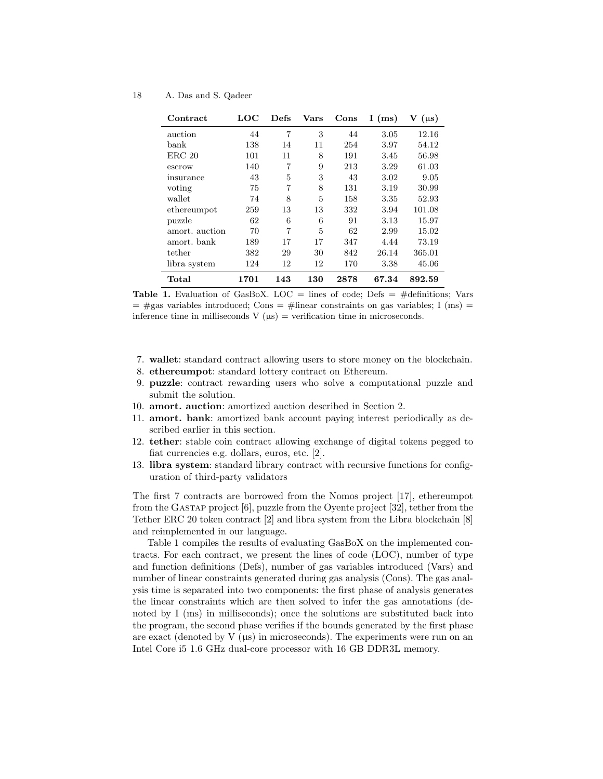| Contract       | LOC  | Defs | <b>Vars</b> | <b>Cons</b> | I(ms) | $V(\mu s)$ |
|----------------|------|------|-------------|-------------|-------|------------|
| auction        | 44   | 7    | 3           | 44          | 3.05  | 12.16      |
| bank           | 138  | 14   | 11          | 254         | 3.97  | 54.12      |
| $ERC$ 20       | 101  | 11   | 8           | 191         | 3.45  | 56.98      |
| escrow         | 140  | 7    | 9           | 213         | 3.29  | 61.03      |
| insurance      | 43   | 5    | 3           | 43          | 3.02  | 9.05       |
| voting         | 75   | 7    | 8           | 131         | 3.19  | 30.99      |
| wallet         | 74   | 8    | 5           | 158         | 3.35  | 52.93      |
| ethereumpot    | 259  | 13   | 13          | 332         | 3.94  | 101.08     |
| puzzle         | 62   | 6    | 6           | 91          | 3.13  | 15.97      |
| amort, auction | 70   | 7    | 5           | 62          | 2.99  | 15.02      |
| amort. bank    | 189  | 17   | 17          | 347         | 4.44  | 73.19      |
| tether         | 382  | 29   | 30          | 842         | 26.14 | 365.01     |
| libra system   | 124  | 12   | 12          | 170         | 3.38  | 45.06      |
| Total          | 1701 | 143  | 130         | 2878        | 67.34 | 892.59     |

Table 1. Evaluation of GasBoX. LOC = lines of code; Defs =  $\#$ definitions; Vars  $=$  #gas variables introduced; Cons  $=$  #linear constraints on gas variables; I (ms)  $=$ inference time in milliseconds  $V(\mu s)$  = verification time in microseconds.

- 7. wallet: standard contract allowing users to store money on the blockchain.
- 8. ethereumpot: standard lottery contract on Ethereum.
- 9. puzzle: contract rewarding users who solve a computational puzzle and submit the solution.
- 10. amort. auction: amortized auction described in Section 2.
- 11. amort. bank: amortized bank account paying interest periodically as described earlier in this section.
- 12. tether: stable coin contract allowing exchange of digital tokens pegged to fiat currencies e.g. dollars, euros, etc. [2].
- 13. libra system: standard library contract with recursive functions for configuration of third-party validators

The first 7 contracts are borrowed from the Nomos project [17], ethereumpot from the Gastap project [6], puzzle from the Oyente project [32], tether from the Tether ERC 20 token contract [2] and libra system from the Libra blockchain [8] and reimplemented in our language.

Table 1 compiles the results of evaluating GasBoX on the implemented contracts. For each contract, we present the lines of code (LOC), number of type and function definitions (Defs), number of gas variables introduced (Vars) and number of linear constraints generated during gas analysis (Cons). The gas analysis time is separated into two components: the first phase of analysis generates the linear constraints which are then solved to infer the gas annotations (denoted by I (ms) in milliseconds); once the solutions are substituted back into the program, the second phase verifies if the bounds generated by the first phase are exact (denoted by  $V(\mu s)$  in microseconds). The experiments were run on an Intel Core i5 1.6 GHz dual-core processor with 16 GB DDR3L memory.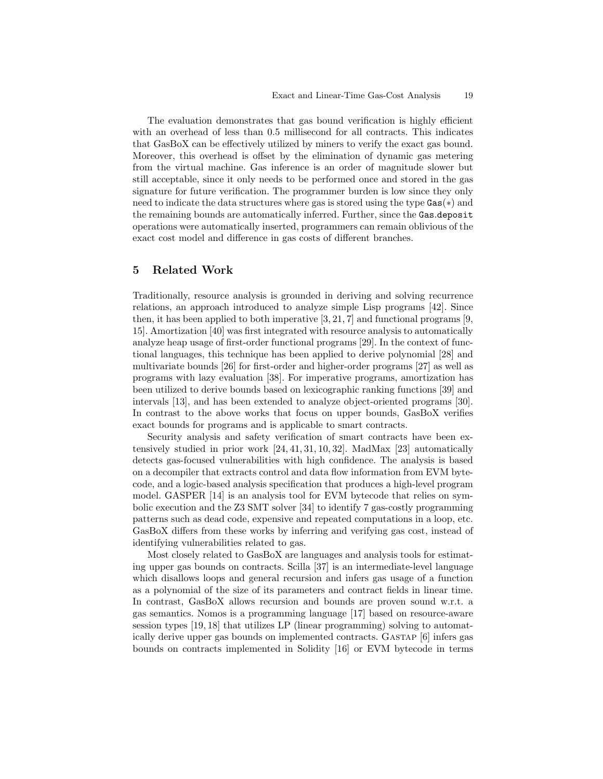The evaluation demonstrates that gas bound verification is highly efficient with an overhead of less than 0.5 millisecond for all contracts. This indicates that GasBoX can be effectively utilized by miners to verify the exact gas bound. Moreover, this overhead is offset by the elimination of dynamic gas metering from the virtual machine. Gas inference is an order of magnitude slower but still acceptable, since it only needs to be performed once and stored in the gas signature for future verification. The programmer burden is low since they only need to indicate the data structures where gas is stored using the type Gas(∗) and the remaining bounds are automatically inferred. Further, since the Gas.deposit operations were automatically inserted, programmers can remain oblivious of the exact cost model and difference in gas costs of different branches.

# 5 Related Work

Traditionally, resource analysis is grounded in deriving and solving recurrence relations, an approach introduced to analyze simple Lisp programs [42]. Since then, it has been applied to both imperative [3, 21, 7] and functional programs [9, 15]. Amortization [40] was first integrated with resource analysis to automatically analyze heap usage of first-order functional programs [29]. In the context of functional languages, this technique has been applied to derive polynomial [28] and multivariate bounds [26] for first-order and higher-order programs [27] as well as programs with lazy evaluation [38]. For imperative programs, amortization has been utilized to derive bounds based on lexicographic ranking functions [39] and intervals [13], and has been extended to analyze object-oriented programs [30]. In contrast to the above works that focus on upper bounds, GasBoX verifies exact bounds for programs and is applicable to smart contracts.

Security analysis and safety verification of smart contracts have been extensively studied in prior work [24, 41, 31, 10, 32]. MadMax [23] automatically detects gas-focused vulnerabilities with high confidence. The analysis is based on a decompiler that extracts control and data flow information from EVM bytecode, and a logic-based analysis specification that produces a high-level program model. GASPER [14] is an analysis tool for EVM bytecode that relies on symbolic execution and the Z3 SMT solver [34] to identify 7 gas-costly programming patterns such as dead code, expensive and repeated computations in a loop, etc. GasBoX differs from these works by inferring and verifying gas cost, instead of identifying vulnerabilities related to gas.

Most closely related to GasBoX are languages and analysis tools for estimating upper gas bounds on contracts. Scilla [37] is an intermediate-level language which disallows loops and general recursion and infers gas usage of a function as a polynomial of the size of its parameters and contract fields in linear time. In contrast, GasBoX allows recursion and bounds are proven sound w.r.t. a gas semantics. Nomos is a programming language [17] based on resource-aware session types [19, 18] that utilizes LP (linear programming) solving to automatically derive upper gas bounds on implemented contracts. GASTAP [6] infers gas bounds on contracts implemented in Solidity [16] or EVM bytecode in terms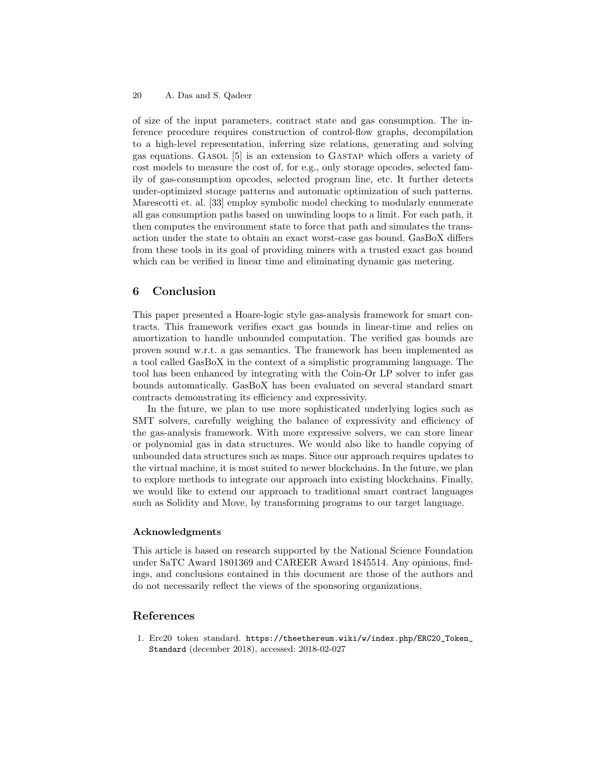of size of the input parameters, contract state and gas consumption. The inference procedure requires construction of control-flow graphs, decompilation to a high-level representation, inferring size relations, generating and solving gas equations. Gasol [5] is an extension to Gastap which offers a variety of cost models to measure the cost of, for e.g., only storage opcodes, selected family of gas-consumption opcodes, selected program line, etc. It further detects under-optimized storage patterns and automatic optimization of such patterns. Marescotti et. al. [33] employ symbolic model checking to modularly enumerate all gas consumption paths based on unwinding loops to a limit. For each path, it then computes the environment state to force that path and simulates the transaction under the state to obtain an exact worst-case gas bound. GasBoX differs from these tools in its goal of providing miners with a trusted exact gas bound which can be verified in linear time and eliminating dynamic gas metering.

# 6 Conclusion

This paper presented a Hoare-logic style gas-analysis framework for smart contracts. This framework verifies exact gas bounds in linear-time and relies on amortization to handle unbounded computation. The verified gas bounds are proven sound w.r.t. a gas semantics. The framework has been implemented as a tool called GasBoX in the context of a simplistic programming language. The tool has been enhanced by integrating with the Coin-Or LP solver to infer gas bounds automatically. GasBoX has been evaluated on several standard smart contracts demonstrating its efficiency and expressivity.

In the future, we plan to use more sophisticated underlying logics such as SMT solvers, carefully weighing the balance of expressivity and efficiency of the gas-analysis framework. With more expressive solvers, we can store linear or polynomial gas in data structures. We would also like to handle copying of unbounded data structures such as maps. Since our approach requires updates to the virtual machine, it is most suited to newer blockchains. In the future, we plan to explore methods to integrate our approach into existing blockchains. Finally, we would like to extend our approach to traditional smart contract languages such as Solidity and Move, by transforming programs to our target language.

#### Acknowledgments

This article is based on research supported by the National Science Foundation under SaTC Award 1801369 and CAREER Award 1845514. Any opinions, findings, and conclusions contained in this document are those of the authors and do not necessarily reflect the views of the sponsoring organizations.

# References

1. Erc20 token standard. https://theethereum.wiki/w/index.php/ERC20\_Token\_ Standard (december 2018), accessed: 2018-02-027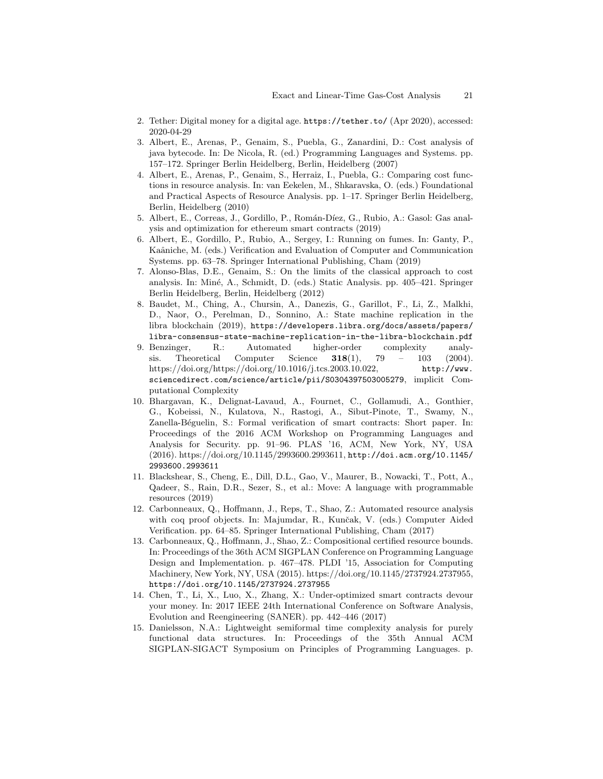- 2. Tether: Digital money for a digital age. https://tether.to/ (Apr 2020), accessed: 2020-04-29
- 3. Albert, E., Arenas, P., Genaim, S., Puebla, G., Zanardini, D.: Cost analysis of java bytecode. In: De Nicola, R. (ed.) Programming Languages and Systems. pp. 157–172. Springer Berlin Heidelberg, Berlin, Heidelberg (2007)
- 4. Albert, E., Arenas, P., Genaim, S., Herraiz, I., Puebla, G.: Comparing cost functions in resource analysis. In: van Eekelen, M., Shkaravska, O. (eds.) Foundational and Practical Aspects of Resource Analysis. pp. 1–17. Springer Berlin Heidelberg, Berlin, Heidelberg (2010)
- 5. Albert, E., Correas, J., Gordillo, P., Román-Díez, G., Rubio, A.: Gasol: Gas analysis and optimization for ethereum smart contracts (2019)
- 6. Albert, E., Gordillo, P., Rubio, A., Sergey, I.: Running on fumes. In: Ganty, P., Kaâniche, M. (eds.) Verification and Evaluation of Computer and Communication Systems. pp. 63–78. Springer International Publishing, Cham (2019)
- 7. Alonso-Blas, D.E., Genaim, S.: On the limits of the classical approach to cost analysis. In: Min´e, A., Schmidt, D. (eds.) Static Analysis. pp. 405–421. Springer Berlin Heidelberg, Berlin, Heidelberg (2012)
- 8. Baudet, M., Ching, A., Chursin, A., Danezis, G., Garillot, F., Li, Z., Malkhi, D., Naor, O., Perelman, D., Sonnino, A.: State machine replication in the libra blockchain (2019), https://developers.libra.org/docs/assets/papers/ libra-consensus-state-machine-replication-in-the-libra-blockchain.pdf
- 9. Benzinger, R.: Automated higher-order complexity analysis. Theoretical Computer Science  $318(1)$ , 79 – 103 (2004). https://doi.org/https://doi.org/10.1016/j.tcs.2003.10.022, http://www. sciencedirect.com/science/article/pii/S0304397503005279, implicit Computational Complexity
- 10. Bhargavan, K., Delignat-Lavaud, A., Fournet, C., Gollamudi, A., Gonthier, G., Kobeissi, N., Kulatova, N., Rastogi, A., Sibut-Pinote, T., Swamy, N., Zanella-Béguelin, S.: Formal verification of smart contracts: Short paper. In: Proceedings of the 2016 ACM Workshop on Programming Languages and Analysis for Security. pp. 91–96. PLAS '16, ACM, New York, NY, USA (2016). https://doi.org/10.1145/2993600.2993611, http://doi.acm.org/10.1145/ 2993600.2993611
- 11. Blackshear, S., Cheng, E., Dill, D.L., Gao, V., Maurer, B., Nowacki, T., Pott, A., Qadeer, S., Rain, D.R., Sezer, S., et al.: Move: A language with programmable resources (2019)
- 12. Carbonneaux, Q., Hoffmann, J., Reps, T., Shao, Z.: Automated resource analysis with coq proof objects. In: Majumdar, R., Kunčak, V. (eds.) Computer Aided Verification. pp. 64–85. Springer International Publishing, Cham (2017)
- 13. Carbonneaux, Q., Hoffmann, J., Shao, Z.: Compositional certified resource bounds. In: Proceedings of the 36th ACM SIGPLAN Conference on Programming Language Design and Implementation. p. 467–478. PLDI '15, Association for Computing Machinery, New York, NY, USA (2015). https://doi.org/10.1145/2737924.2737955, https://doi.org/10.1145/2737924.2737955
- 14. Chen, T., Li, X., Luo, X., Zhang, X.: Under-optimized smart contracts devour your money. In: 2017 IEEE 24th International Conference on Software Analysis, Evolution and Reengineering (SANER). pp. 442–446 (2017)
- 15. Danielsson, N.A.: Lightweight semiformal time complexity analysis for purely functional data structures. In: Proceedings of the 35th Annual ACM SIGPLAN-SIGACT Symposium on Principles of Programming Languages. p.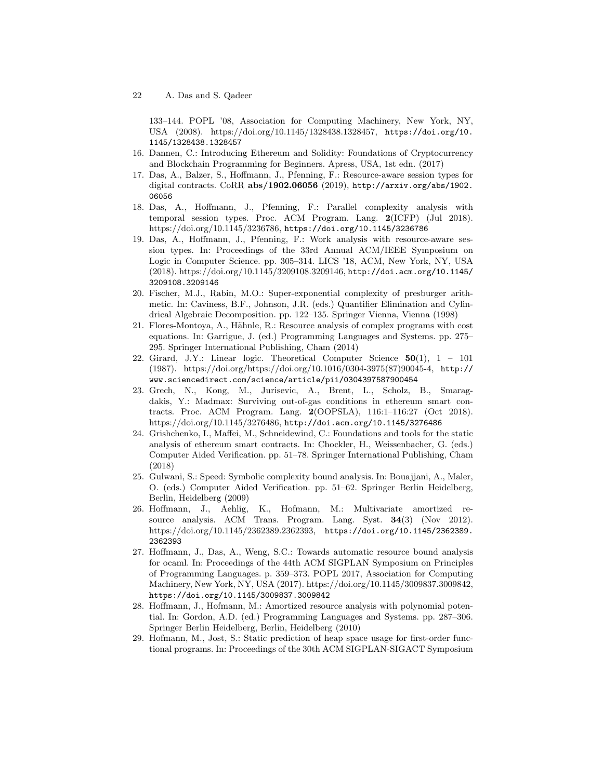133–144. POPL '08, Association for Computing Machinery, New York, NY, USA (2008). https://doi.org/10.1145/1328438.1328457, https://doi.org/10. 1145/1328438.1328457

- 16. Dannen, C.: Introducing Ethereum and Solidity: Foundations of Cryptocurrency and Blockchain Programming for Beginners. Apress, USA, 1st edn. (2017)
- 17. Das, A., Balzer, S., Hoffmann, J., Pfenning, F.: Resource-aware session types for digital contracts. CoRR abs/1902.06056 (2019), http://arxiv.org/abs/1902. 06056
- 18. Das, A., Hoffmann, J., Pfenning, F.: Parallel complexity analysis with temporal session types. Proc. ACM Program. Lang. 2(ICFP) (Jul 2018). https://doi.org/10.1145/3236786, https://doi.org/10.1145/3236786
- 19. Das, A., Hoffmann, J., Pfenning, F.: Work analysis with resource-aware session types. In: Proceedings of the 33rd Annual ACM/IEEE Symposium on Logic in Computer Science. pp. 305–314. LICS '18, ACM, New York, NY, USA (2018). https://doi.org/10.1145/3209108.3209146, http://doi.acm.org/10.1145/ 3209108.3209146
- 20. Fischer, M.J., Rabin, M.O.: Super-exponential complexity of presburger arithmetic. In: Caviness, B.F., Johnson, J.R. (eds.) Quantifier Elimination and Cylindrical Algebraic Decomposition. pp. 122–135. Springer Vienna, Vienna (1998)
- 21. Flores-Montoya, A., Hähnle, R.: Resource analysis of complex programs with cost equations. In: Garrigue, J. (ed.) Programming Languages and Systems. pp. 275– 295. Springer International Publishing, Cham (2014)
- 22. Girard, J.Y.: Linear logic. Theoretical Computer Science  $50(1)$ ,  $1 101$ (1987). https://doi.org/https://doi.org/10.1016/0304-3975(87)90045-4, http:// www.sciencedirect.com/science/article/pii/0304397587900454
- 23. Grech, N., Kong, M., Jurisevic, A., Brent, L., Scholz, B., Smaragdakis, Y.: Madmax: Surviving out-of-gas conditions in ethereum smart contracts. Proc. ACM Program. Lang. 2(OOPSLA), 116:1–116:27 (Oct 2018). https://doi.org/10.1145/3276486, http://doi.acm.org/10.1145/3276486
- 24. Grishchenko, I., Maffei, M., Schneidewind, C.: Foundations and tools for the static analysis of ethereum smart contracts. In: Chockler, H., Weissenbacher, G. (eds.) Computer Aided Verification. pp. 51–78. Springer International Publishing, Cham (2018)
- 25. Gulwani, S.: Speed: Symbolic complexity bound analysis. In: Bouajjani, A., Maler, O. (eds.) Computer Aided Verification. pp. 51–62. Springer Berlin Heidelberg, Berlin, Heidelberg (2009)
- 26. Hoffmann, J., Aehlig, K., Hofmann, M.: Multivariate amortized resource analysis. ACM Trans. Program. Lang. Syst. 34(3) (Nov 2012). https://doi.org/10.1145/2362389.2362393, https://doi.org/10.1145/2362389. 2362393
- 27. Hoffmann, J., Das, A., Weng, S.C.: Towards automatic resource bound analysis for ocaml. In: Proceedings of the 44th ACM SIGPLAN Symposium on Principles of Programming Languages. p. 359–373. POPL 2017, Association for Computing Machinery, New York, NY, USA (2017). https://doi.org/10.1145/3009837.3009842, https://doi.org/10.1145/3009837.3009842
- 28. Hoffmann, J., Hofmann, M.: Amortized resource analysis with polynomial potential. In: Gordon, A.D. (ed.) Programming Languages and Systems. pp. 287–306. Springer Berlin Heidelberg, Berlin, Heidelberg (2010)
- 29. Hofmann, M., Jost, S.: Static prediction of heap space usage for first-order functional programs. In: Proceedings of the 30th ACM SIGPLAN-SIGACT Symposium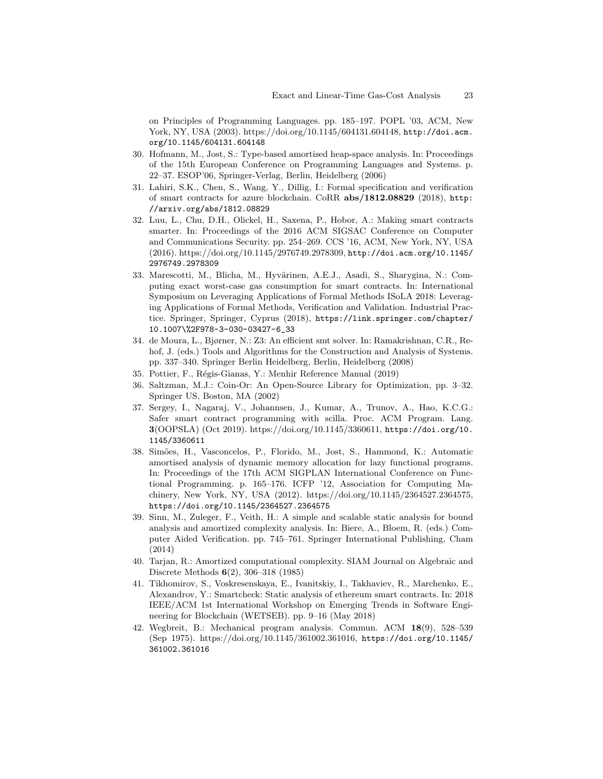on Principles of Programming Languages. pp. 185–197. POPL '03, ACM, New York, NY, USA (2003). https://doi.org/10.1145/604131.604148, http://doi.acm. org/10.1145/604131.604148

- 30. Hofmann, M., Jost, S.: Type-based amortised heap-space analysis. In: Proceedings of the 15th European Conference on Programming Languages and Systems. p. 22–37. ESOP'06, Springer-Verlag, Berlin, Heidelberg (2006)
- 31. Lahiri, S.K., Chen, S., Wang, Y., Dillig, I.: Formal specification and verification of smart contracts for azure blockchain. CoRR abs/1812.08829 (2018), http: //arxiv.org/abs/1812.08829
- 32. Luu, L., Chu, D.H., Olickel, H., Saxena, P., Hobor, A.: Making smart contracts smarter. In: Proceedings of the 2016 ACM SIGSAC Conference on Computer and Communications Security. pp. 254–269. CCS '16, ACM, New York, NY, USA (2016). https://doi.org/10.1145/2976749.2978309, http://doi.acm.org/10.1145/ 2976749.2978309
- 33. Marescotti, M., Blicha, M., Hyvärinen, A.E.J., Asadi, S., Sharygina, N.: Computing exact worst-case gas consumption for smart contracts. In: International Symposium on Leveraging Applications of Formal Methods ISoLA 2018: Leveraging Applications of Formal Methods, Verification and Validation. Industrial Practice. Springer, Springer, Cyprus (2018), https://link.springer.com/chapter/ 10.1007\%2F978-3-030-03427-6\_33
- 34. de Moura, L., Bjørner, N.: Z3: An efficient smt solver. In: Ramakrishnan, C.R., Rehof, J. (eds.) Tools and Algorithms for the Construction and Analysis of Systems. pp. 337–340. Springer Berlin Heidelberg, Berlin, Heidelberg (2008)
- 35. Pottier, F., Régis-Gianas, Y.: Menhir Reference Manual (2019)
- 36. Saltzman, M.J.: Coin-Or: An Open-Source Library for Optimization, pp. 3–32. Springer US, Boston, MA (2002)
- 37. Sergey, I., Nagaraj, V., Johannsen, J., Kumar, A., Trunov, A., Hao, K.C.G.: Safer smart contract programming with scilla. Proc. ACM Program. Lang. 3(OOPSLA) (Oct 2019). https://doi.org/10.1145/3360611, https://doi.org/10. 1145/3360611
- 38. Sim˜oes, H., Vasconcelos, P., Florido, M., Jost, S., Hammond, K.: Automatic amortised analysis of dynamic memory allocation for lazy functional programs. In: Proceedings of the 17th ACM SIGPLAN International Conference on Functional Programming. p. 165–176. ICFP '12, Association for Computing Machinery, New York, NY, USA (2012). https://doi.org/10.1145/2364527.2364575, https://doi.org/10.1145/2364527.2364575
- 39. Sinn, M., Zuleger, F., Veith, H.: A simple and scalable static analysis for bound analysis and amortized complexity analysis. In: Biere, A., Bloem, R. (eds.) Computer Aided Verification. pp. 745–761. Springer International Publishing, Cham (2014)
- 40. Tarjan, R.: Amortized computational complexity. SIAM Journal on Algebraic and Discrete Methods 6(2), 306–318 (1985)
- 41. Tikhomirov, S., Voskresenskaya, E., Ivanitskiy, I., Takhaviev, R., Marchenko, E., Alexandrov, Y.: Smartcheck: Static analysis of ethereum smart contracts. In: 2018 IEEE/ACM 1st International Workshop on Emerging Trends in Software Engineering for Blockchain (WETSEB). pp. 9–16 (May 2018)
- 42. Wegbreit, B.: Mechanical program analysis. Commun. ACM 18(9), 528–539 (Sep 1975). https://doi.org/10.1145/361002.361016, https://doi.org/10.1145/ 361002.361016